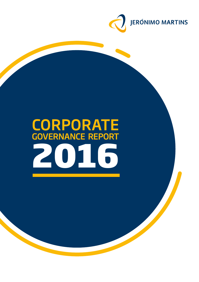

# **2016 CORPORATE** Governance Report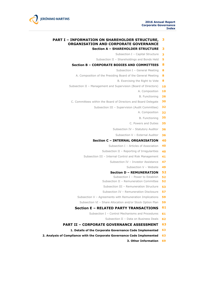

#### **PART I – INFORMATION ON SHAREHOLDER STRUCTURE, ORGANISATION AND CORPORATE GOVERNANCE 3**

#### **Section A – SHAREHOLDER STRUCTURE 3**

- Subsection I Capital Structure **3**
- Subsection II Shareholdings and Bonds Held **5**
- **Section B – CORPORATE BODIES AND COMMITTEES 8**
	- Subsection I General Meeting **8**
	- A. Composition of the Presiding Board of the General Meeting **8**
		- B. Exercising the Right to Vote **8**
- Subsection II Management and Supervision (Board of Directors) **10**
	- A. Composition **10**
	- B. Functioning **26**
	- C. Committees within the Board of Directors and Board Delegate **30**
		- Subsection III Supervision (Audit Committee) **32**
			- A. Composition **32**
			- B. Functioning **35**
			- C. Powers and Duties **35**
			- Subsection IV Statutory Auditor **36**
				- Subsection V External Auditor **36**

#### **Section C – INTERNAL ORGANISATION 40**

- Subsection I Articles of Association **40**
- Subsection II Reporting of Irregularities **40**
- Subsection III Internal Control and Risk Management **41**
	- Subsection IV Investor Assistance **47**
		- Subsection V Website **49**

#### **Section D – REMUNERATION 52**

- Subsection I Power to Establish **52**
- Subsection II Remuneration Committee **52**
- Subsection III Remuneration Structure **53**
- Subsection IV Remuneration Disclosure **57**
- Subsection V Agreements with Remuneration Implications **59**
	- Subsection VI Share Allocation and/or Stock Option Plan **59**

#### **Section E – RELATED PARTY TRANSACTIONS 61**

- Subsection I Control Mechanisms and Procedures **61**
	- Subsection II Data on Business Deals **62**
- **PART II – CORPORATE GOVERNANCE ASSESSMENT 63**
	- **1. Details of the Corporate Governance Code Implemented 63**
- **2. Analysis of Compliance with the Corporate Governance Code Implemented 63**
	- **3. Other Information 69**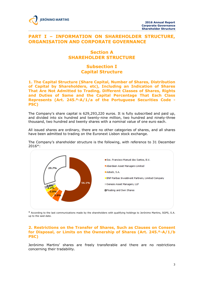

# **PART I – INFORMATION ON SHAREHOLDER STRUCTURE, ORGANISATION AND CORPORATE GOVERNANCE**

# **Section A SHAREHOLDER STRUCTURE**

# **Subsection I Capital Structure**

**1. The Capital Structure (Share Capital, Number of Shares, Distribution of Capital by Shareholders, etc), Including an Indication of Shares That Are Not Admitted to Trading, Different Classes of Shares, Rights and Duties of Same and the Capital Percentage That Each Class Represents (Art. 245.º-A/1/a of the Portuguese Securities Code - PSC)**

The Company's share capital is 629,293,220 euros. It is fully subscribed and paid up, and divided into six hundred and twenty-nine million, two hundred and ninety-three thousand, two hundred and twenty shares with a nominal value of one euro each.

All issued shares are ordinary, there are no other categories of shares, and all shares have been admitted to trading on the Euronext Lisbon stock exchange.

The Company's shareholder structure is the following, with reference to 31 December 2016\*:



\* According to the last communications made by the shareholders with qualifying holdings to Jerónimo Martins, SGPS, S.A. up to the said date.

## **2. Restrictions on the Transfer of Shares, Such as Clauses on Consent for Disposal, or Limits on the Ownership of Shares (Art. 245.º-A/1/b PSC)**

Jerónimo Martins' shares are freely transferable and there are no restrictions concerning their tradability.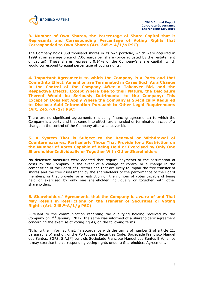#### **3. Number of Own Shares, the Percentage of Share Capital that it Represents and Corresponding Percentage of Voting Rights that Corresponded to Own Shares (Art. 245.º-A/1/a PSC)**

The Company holds 859 thousand shares in its own portfolio, which were acquired in 1999 at an average price of 7.06 euros per share (price adjusted by the restatement of capital). These shares represent 0.14% of the Company's share capital, which would correspond to equal percentage of voting rights.

**4. Important Agreements to which the Company is a Party and that Come Into Effect, Amend or are Terminated in Cases Such As a Change in the Control of the Company After a Takeover Bid, and the Respective Effects, Except Where Due to their Nature, the Disclosure Thereof Would be Seriously Detrimental to the Company; This Exception Does Not Apply Where the Company is Specifically Required to Disclose Said Information Pursuant to Other Legal Requirements (Art. 245.º-A/1/j PSC)**

There are no significant agreements (including financing agreements) to which the Company is a party and that come into effect, are amended or terminated in case of a change in the control of the Company after a takeover bid.

## **5. A System That is Subject to the Renewal or Withdrawal of Countermeasures, Particularly Those That Provide for a Restriction on the Number of Votes Capable of Being Held or Exercised by Only One Shareholder Individually or Together With Other Shareholders**

No defensive measures were adopted that require payments or the assumption of costs by the Company in the event of a change of control or a change in the composition of the Board of Directors and that are likely to impair the free transfer of shares and the free assessment by the shareholders of the performance of the Board members, or that provide for a restriction on the number of votes capable of being held or exercised by only one shareholder individually or together with other shareholders.

# **6. Shareholders' Agreements that the Company is aware of and That May Result in Restrictions on the Transfer of Securities or Voting Rights (Art. 245.º-A/1/g PSC)**

Pursuant to the communication regarding the qualifying holding received by the Company on  $2<sup>nd</sup>$  January, 2012, the same was informed of a shareholders' agreement concerning the exercise of voting rights, on the following terms:

"It is further informed that, in accordance with the terms of number 2 of article 21, paragraphs b) and c), of the Portuguese Securities Code, Sociedade Francisco Manuel dos Santos, SGPS, S.A.[\*] controls Sociedade Francisco Manuel dos Santos B.V., since it may exercise the corresponding voting rights under a Shareholders Agreement.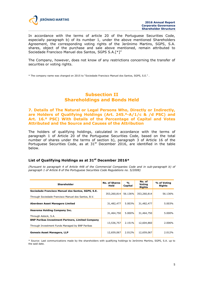

In accordance with the terms of article 20 of the Portuguese Securities Code, especially paragraph b) of its number 1, under the above mentioned Shareholders Agreement, the corresponding voting rights of the Jerónimo Martins, SGPS, S.A. shares, object of the purchase and sale above mentioned, remain attributed to Sociedade Francisco Manuel dos Santos, SGPS S.A.[\*]"

The Company, however, does not know of any restrictions concerning the transfer of securities or voting rights.

\* The company name was changed on 2015 to "Sociedade Francisco Manuel dos Santos, SGPS, S.E." .

# **Subsection II Shareholdings and Bonds Held**

## **7. Details of The Natural or Legal Persons Who, Directly or Indirectly, are Holders of Qualifying Holdings (Art. 245.º-A/1/c & /d PSC) and Art. 16.º PSC) With Details of the Percentage of Capital and Votes Attributed and the Source and Causes of the Attribution**

The holders of qualifying holdings, calculated in accordance with the terms of paragraph 1 of Article 20 of the Portuguese Securities Code, based on the total number of shares under the terms of section b), paragraph 3 of Article 16 of the Portuguese Securities Code, as at  $31<sup>st</sup>$  December 2016, are identified in the table below.

## **List of Qualifying Holdings as at 31st December 2016\***

*(Pursuant to paragraph 4 of Article 448 of the Commercial Companies Code and in sub-paragraph b) of paragraph 1 of Article 8 of the Portuguese Securities Code Regulations no. 5/2008)*

| <b>Shareholder</b>                                                                                         | <b>No. of Shares</b><br>Held | $\frac{0}{0}$<br>Capital | No. of<br>Voting<br><b>Rights</b> | % of Voting<br><b>Rights</b> |
|------------------------------------------------------------------------------------------------------------|------------------------------|--------------------------|-----------------------------------|------------------------------|
| Sociedade Francisco Manuel dos Santos, SGPS, S.E.<br>Through Sociedade Francisco Manuel dos Santos, B.V.   | 353,260,814                  | 56.136%                  | 353,260,814                       | 56.136%                      |
| Aberdeen Asset Managers Limited                                                                            | 31,482,477                   | 5.003%                   | 31,482,477                        | 5.003%                       |
| Heerema Holding Company Inc.<br>Through Asteck, S.A.                                                       | 31,464,750                   | 5.000%                   | 31,464,750                        | 5.000%                       |
| <b>BNP Paribas Investment Partners, Limited Company</b><br>Through Investment Funds Managed by BNP Paribas | 13,536,757                   | 2.151%                   | 12,604,860                        | 2.006%                       |
| <b>Genesis Asset Managers, LLP</b>                                                                         | 12,659,067                   | 2.012%                   | 12,659,067                        | 2.012%                       |

\* Source: Last communications made by the shareholders with qualifying holdings to Jerónimo Martins, SGPS, S.A. up to the said date.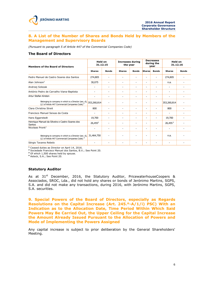#### **8. A List of the Number of Shares and Bonds Held by Members of the Management and Supervisory Boards**

*(Pursuant to paragraph 5 of Article 447 of the Commercial Companies Code)*

## **The Board of Directors**

| <b>Members of the Board of Directors</b>                                                                                        | <b>Held on</b><br>31.12.15 |                          | <b>Increases during</b><br>the year |              | <b>Decreases</b><br>during the<br>year |                          | <b>Held on</b><br>31.12.16 |              |
|---------------------------------------------------------------------------------------------------------------------------------|----------------------------|--------------------------|-------------------------------------|--------------|----------------------------------------|--------------------------|----------------------------|--------------|
|                                                                                                                                 | <b>Shares</b>              | <b>Bonds</b>             | <b>Shares</b>                       | <b>Bonds</b> | <b>Shares</b>                          | <b>Bonds</b>             | <b>Shares</b>              | <b>Bonds</b> |
| Pedro Manuel de Castro Soares dos Santos                                                                                        | 274,805                    |                          |                                     |              | ٠                                      |                          | 274,805                    |              |
| Alan Johnson <sup>1</sup>                                                                                                       | 30,075                     |                          |                                     | ۰            | $\overline{\phantom{a}}$               |                          | n.a.                       |              |
| Andrzej Szlezak                                                                                                                 | $\overline{a}$             |                          | ۰                                   | ۰            | -                                      | $\overline{\phantom{m}}$ | $\overline{\phantom{m}}$   |              |
| António Pedro de Carvalho Viana-Baptista                                                                                        | -                          |                          | ۰                                   | ۰            | ٠                                      |                          | ۰                          |              |
| Artur Stefan Kirsten                                                                                                            | ÷                          | ٠                        | ٠                                   | ÷            | $\overline{\phantom{a}}$               | ٠                        | ٠                          | ۰            |
| Belonging to company in which is a Director (sec. d), 353,260,814<br>§ 2 of Article 447 Commercial Companies Code) <sup>2</sup> |                            | ٠                        | ۰                                   | ٠            | $\overline{\phantom{a}}$               | $\overline{\phantom{a}}$ | 353,260,814                |              |
| Clara Christina Streit                                                                                                          | 800                        | $\overline{\phantom{a}}$ | ۰                                   | ٠            | $\overline{\phantom{a}}$               | ۰                        | 800                        |              |
| Francisco Manuel Seixas da Costa                                                                                                | $\overline{\phantom{a}}$   | $\sim$                   | ۰                                   | ٠            | $\overline{\phantom{a}}$               | ۰                        | ٠                          |              |
| Hans Eggerstedt                                                                                                                 | 19,700                     |                          | ۰                                   | ٠            | $\overline{\phantom{a}}$               | ۰                        | 19,700                     |              |
| Henrique Manuel da Silveira e Castro Soares dos<br>Santos                                                                       | $26,455^3$                 |                          | ٠                                   | ÷            | ٠                                      |                          | $26,455^3$                 |              |
| Nicolaas Pronk <sup>1</sup>                                                                                                     | $\overline{\phantom{a}}$   |                          |                                     |              | $\overline{\phantom{a}}$               | ٠                        | ٠                          |              |
| Belonging to company in which is a Director (sec. d),<br>§ 2 of Article 447 Commercial Companies Code) <sup>4</sup>             | 31,464,750                 |                          |                                     |              | $\overline{\phantom{a}}$               |                          | n.a.                       |              |
| Sérgio Tavares Rebelo                                                                                                           | ÷                          |                          |                                     |              | ٠                                      |                          | ٠                          |              |

**<sup>1</sup>** Ceased duties as Director on April 14, 2016.

**<sup>2</sup>** Sociedade Francisco Manuel dos Santos, B.V.; See Point 20.

**<sup>3</sup>** Of which 1,500 shares held by spouse.

**<sup>4</sup>** Asteck, S.A.; See Point 20.

#### **Statutory Auditor**

As at 31<sup>st</sup> December, 2016, the Statutory Auditor, PricewaterhouseCoopers & Associados, SROC, Lda., did not hold any shares or bonds of Jerónimo Martins, SGPS, S.A. and did not make any transactions, during 2016, with Jerónimo Martins, SGPS, S.A. securities.

**9. Special Powers of the Board of Directors, especially as Regards Resolutions on the Capital Increase (Art. 245.º-A/1/i) PSC) With an Indication as to the Allocation Date, Time Period Within Which Said Powers May Be Carried Out, the Upper Ceiling for the Capital Increase the Amount Already Issued Pursuant to the Allocation of Powers and Mode of Implementing the Powers Assigned**

Any capital increase is subject to prior deliberation by the General Shareholders' Meeting.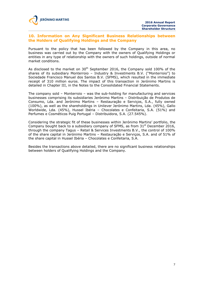## **10. Information on Any Significant Business Relationships between the Holders of Qualifying Holdings and the Company**

Pursuant to the policy that has been followed by the Company in this area, no business was carried out by the Company with the owners of Qualifying Holdings or entities in any type of relationship with the owners of such holdings, outside of normal market conditions.

As disclosed to the market on  $30<sup>th</sup>$  September 2016, the Company sold 100% of the shares of its subsidiary Monterroio – Industry & Investments B.V. ("Monterroio") to Sociedade Francisco Manuel dos Santos B.V. (SFMS), which resulted in the immediate receipt of 310 million euros. The impact of this transaction in Jerónimo Martins is detailed in Chapter III, in the Notes to the Consolidated Financial Statements.

The company sold – Monterroio – was the sub-holding for manufacturing and services businesses comprising its subsidiaries Jerónimo Martins – Distribuição de Produtos de Consumo, Lda. and Jerónimo Martins – Restauração e Serviços, S.A., fully owned (100%), as well as the shareholdings in Unilever Jerónimo Martins, Lda. (45%), Gallo Worldwide, Lda. (45%), Hussel Ibéria – Chocolates e Confeitaria, S.A. (51%) and Perfumes e Cosméticos Puig Portugal – Distribuidora, S.A. (27.545%).

Considering the strategic fit of these businesses within Jerónimo Martins' portfolio, the Company bought back to a subsidiary company of SFMS, as from  $31<sup>st</sup>$  December 2016, through the company Tagus – Retail & Services Investments B.V., the control of 100% of the share capital in Jerónimo Martins – Restauração e Serviços, S.A. and of 51% of the share capital in Hussel Ibéria – Chocolates e Confeitaria, S.A.

Besides the transactions above detailed, there are no significant business relationships between holders of Qualifying Holdings and the Company.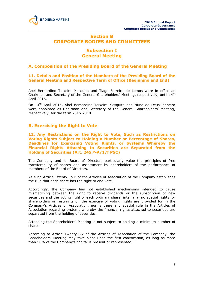

# **Section B CORPORATE BODIES AND COMMITTEES**

# **Subsection I General Meeting**

# **A. Composition of the Presiding Board of the General Meeting**

# **11. Details and Position of the Members of the Presiding Board of the General Meeting and Respective Term of Office (Beginning and End)**

Abel Bernardino Teixeira Mesquita and Tiago Ferreira de Lemos were in office as Chairman and Secretary of the General Shareholders' Meeting, respectively, until 14<sup>th</sup> April 2016.

On 14<sup>th</sup> April 2016, Abel Bernardino Teixeira Mesquita and Nuno de Deus Pinheiro were appointed as Chairman and Secretary of the General Shareholders' Meeting, respectively, for the term 2016-2018.

# **B. Exercising the Right to Vote**

**12. Any Restrictions on the Right to Vote, Such as Restrictions on Voting Rights Subject to Holding a Number or Percentage of Shares, Deadlines for Exercising Voting Rights, or Systems Whereby the Financial Rights Attaching to Securities are Separated from the Holding of Securities (Art. 245.º-A/1/f PSC)**

The Company and its Board of Directors particularly value the principles of free transferability of shares and assessment by shareholders of the performance of members of the Board of Directors.

As such Article Twenty Four of the Articles of Association of the Company establishes the rule that each share has the right to one vote.

Accordingly, the Company has not established mechanisms intended to cause mismatching between the right to receive dividends or the subscription of new securities and the voting right of each ordinary share, inter alia, no special rights for shareholders or restraints on the exercise of voting rights are provided for in the Company's Articles of Association, nor is there any special rule in the Articles of Association regarding systems whereby the financial rights attached to securities are separated from the holding of securities.

Attending the Shareholders' Meeting is not subject to holding a minimum number of shares.

According to Article Twenty-Six of the Articles of Association of the Company, the Shareholders' Meeting may take place upon the first convocation, as long as more than 50% of the Company's capital is present or represented.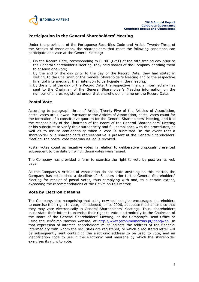

## **Participation in the General Shareholders' Meeting**

Under the provisions of the Portuguese Securities Code and Article Twenty-Three of the Articles of Association, the shareholders that meet the following conditions can participate and vote at the General Meeting:

- i. On the Record Date, corresponding to 00:00 (GMT) of the fifth trading day prior to the General Shareholder's Meeting, they held shares of the Company entitling them to at least one vote;
- ii. By the end of the day prior to the day of the Record Date, they had stated in writing, to the Chairman of the General Shareholder's Meeting and to the respective financial intermediary, their intention to participate in the meeting;
- iii. By the end of the day of the Record Date, the respective financial intermediary has sent to the Chairman of the General Shareholder's Meeting information on the number of shares registered under that shareholder's name on the Record Date.

#### **Postal Vote**

According to paragraph three of Article Twenty-Five of the Articles of Association, postal votes are allowed. Pursuant to the Articles of Association, postal votes count for the formation of a constitutive quorum for the General Shareholders' Meeting, and it is the responsibility of the Chairman of the Board of the General Shareholders' Meeting or his substitute to verify their authenticity and full compliance with the procedures, as well as to assure confidentiality when a vote is submitted. In the event that a shareholder or a shareholder's representative is present at the General Shareholders' Meeting, the postal vote that was issued is revoked.

Postal votes count as negative votes in relation to deliberative proposals presented subsequent to the date on which those votes were issued.

The Company has provided a form to exercise the right to vote by post on its web page.

As the Company's Articles of Association do not state anything on this matter, the Company has established a deadline of 48 hours prior to the General Shareholders' Meeting for receipt of postal votes, thus complying with and, to a certain extent, exceeding the recommendations of the CMVM on this matter.

#### **Vote by Electronic Means**

The Company, also recognising that using new technologies encourages shareholders to exercise their right to vote, has adopted, since 2006, adequate mechanisms so that they may vote electronically in General Shareholders' Meetings. Thus, shareholders must state their intent to exercise their right to vote electronically to the Chairman of the Board of the General Shareholders' Meeting, at the Company's Head Office or using the Jerónimo Martins website, at http://www.jeronimomartins.pt/?lang=en. In that expression of interest, shareholders must indicate the address of the financial intermediary with whom the securities are registered, to which a registered letter will be subsequently sent containing the electronic address to be used to vote, and an identification code to use in the electronic mail message by which the shareholder exercises its right to vote.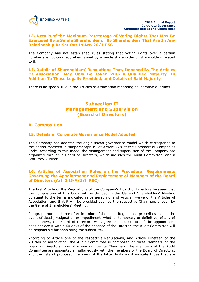## **13. Details of the Maximum Percentage of Voting Rights That May Be Exercised By a Single Shareholder or By Shareholders That Are In Any Relationship As Set Out In Art. 20/1 PSC**

The Company has not established rules stating that voting rights over a certain number are not counted, when issued by a single shareholder or shareholders related to it.

**14. Details of Shareholders' Resolutions That, Imposed By The Articles Of Association, May Only Be Taken With a Qualified Majority, In Addition To Those Legally Provided, and Details of Said Majority**

There is no special rule in the Articles of Association regarding deliberative quorums.

# **Subsection II Management and Supervision (Board of Directors)**

# **A. Composition**

# **15. Details of Corporate Governance Model Adopted**

The Company has adopted the anglo-saxon governance model which corresponds to the option foreseen in subparagraph b) of Article 278 of the Commercial Companies Code. According to this model the management and supervision of the Company are organized through a Board of Directors, which includes the Audit Committee, and a Statutory Auditor.

## **16. Articles of Association Rules on the Procedural Requirements Governing the Appointment and Replacement of Members of the Board of Directors (Art. 245-A/1/h PSC)**

The first Article of the Regulations of the Company's Board of Directors foresees that the composition of this body will be decided in the General Shareholders' Meeting pursuant to the terms indicated in paragraph one of Article Twelve of the Articles of Association, and that it will be presided over by the respective Chairman, chosen by the General Shareholders' Meeting.

Paragraph number three of Article nine of the same Regulations prescribes that in the event of death, resignation or impediment, whether temporary or definitive, of any of its members, the Board of Directors will agree on a substitute. If the appointment does not occur within 60 days of the absence of the Director, the Audit Committee will be responsible for appointing the substitute.

According to Article one of the respective Regulations, and Article Nineteen of the Articles of Association, the Audit Committee is composed of three Members of the Board of Directors, one of whom will be its Chairman. The members of the Audit Committee are appointed simultaneously with the members of the Board of Directors, and the lists of proposed members of the latter body must indicate those that are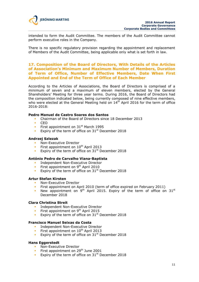

intended to form the Audit Committee. The members of the Audit Committee cannot perform executive roles in the Company.

There is no specific regulatory provision regarding the appointment and replacement of Members of the Audit Committee, being applicable only what is set forth in law.

## **17. Composition of the Board of Directors, With Details of the Articles of Association's Minimum and Maximum Number of Members, Duration of Term of Office, Number of Effective Members, Date When First Appointed and End of the Term of Office of Each Member**

According to the Articles of Associations, the Board of Directors is comprised of a minimum of seven and a maximum of eleven members, elected by the General Shareholders' Meeting for three year terms. During 2016, the Board of Directors had the composition indicated below, being currently composed of nine effective members, who were elected at the General Meeting held on  $14<sup>th</sup>$  April 2016 for the term of office 2016-2018:

#### **Pedro Manuel de Castro Soares dos Santos**

- Chairman of the Board of Directors since 18 December 2013
- CEO
- First appointment on  $31<sup>st</sup>$  March 1995
- Expiry of the term of office on  $31<sup>st</sup>$  December 2018

#### **Andrzej Szlezak**

- Non-Executive Director
- First appointment on  $10^{th}$  April 2013
- Expiry of the term of office on  $31<sup>st</sup>$  December 2018

#### **António Pedro de Carvalho Viana-Baptista**

- **Independent Non-Executive Director**
- First appointment on  $9<sup>th</sup>$  April 2010
- **Expiry of the term of office on 31**<sup>st</sup> December 2018

#### **Artur Stefan Kirsten**

- Non-Executive Director
- First appointment on April 2010 (term of office expired on February 2011)
- New appointment on  $9<sup>th</sup>$  April 2015. Expiry of the term of office on 31st December 2018

#### **Clara Christina Streit**

- **Independent Non-Executive Director**
- First appointment on  $9<sup>th</sup>$  April 2015
- Expiry of the term of office on  $31<sup>st</sup>$  December 2018

#### **Francisco Manuel Seixas da Costa**

- **Independent Non-Executive Director**
- First appointment on  $10^{th}$  April 2013
- Expiry of the term of office on  $31<sup>st</sup>$  December 2018

#### **Hans Eggerstedt**

- **Non-Executive Director**
- First appointment on 29<sup>th</sup> June 2001
- **Expiry of the term of office on 31**<sup>st</sup> December 2018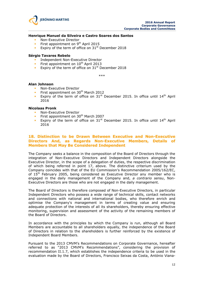

#### **Henrique Manuel da Silveira e Castro Soares dos Santos**

- Non-Executive Director
- First appointment on 9<sup>th</sup> April 2015
- Expiry of the term of office on  $31<sup>st</sup>$  December 2018

#### **Sérgio Tavares Rebelo**

- Independent Non-Executive Director
- First appointment on  $10^{th}$  April 2013
- Expiry of the term of office on  $31<sup>st</sup>$  December 2018

\*\*\*

#### **Alan Johnson**

- Non-Executive Director
- First appointment on 30<sup>th</sup> March 2012
- Expiry of the term of office on  $31<sup>st</sup>$  December 2015. In office until  $14<sup>th</sup>$  April 2016

#### **Nicolaas Pronk**

- **Non-Executive Director**
- First appointment on 30<sup>th</sup> March 2007
- Expiry of the term of office on  $31<sup>st</sup>$  December 2015. In office until  $14<sup>th</sup>$  April 2016

#### **18. Distinction to be Drawn Between Executive and Non-Executive Directors And, as Regards Non-Executive Members, Details of Members that May Be Considered Independent**

The Company seeks a balance in the composition of the Board of Directors through the integration of Non-Executive Directors and Independent Directors alongside the Executive Director, in the scope of a delegation of duties, the respective discrimination of which being referred in point 17, above. The distinctive criterium used by the Company coincides with that of the EU Commission's Recommendation 2005/162/EC, of 15<sup>th</sup> February 2005, being considered as Executive Director any member who is engaged in the daily management of the Company and, *a contrario sensu*, Non-Executive Directors are those who are not engaged in the daily management.

The Board of Directors is therefore composed of Non-Executive Directors, in particular Independent Directors who possess a wide range of technical skills, contact networks and connections with national and international bodies, who therefore enrich and optimise the Company's management in terms of creating value and ensuring adequate protection of the interests of all its shareholders, thereby ensuring effective monitoring, supervision and assessment of the activity of the remaining members of the Board of Directors.

In accordance with the principles by which the Company is run, although all Board Members are accountable to all shareholders equally, the independence of the Board of Directors in relation to the shareholders is further reinforced by the existence of Independent Board Members.

Pursuant to the 2013 CMVM's Recommendations on Corporate Governance, hereafter referred to as "2013 CMVM's Recommendations", considering the provision of recommendation II.1.7, which establishes the independence criteria to be used in the evaluation made by the Board of Directors, Francisco Seixas da Costa, António Viana-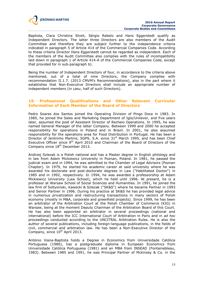

Baptista, Clara Christina Streit, Sérgio Rebelo and Hans Eggerstedt qualify as Independent Directors. The latter three Directors are also members of the Audit Committee and therefore they are subject further to the independence criteria indicated in paragraph 5 of Article 414 of the Commercial Companies Code. According to these criteria Director Hans Eggerstedt cannot be regarded as independent. Each of the members of the Audit Committee also complies with the rules of incompatibility laid down in paragraph 1 of Article 414-A of the Commercial Companies Code, except that provided for in sub-paragraph b).

Being the number of Independent Directors of four, in accordance to the criteria above mentioned, out of a total of nine Directors, the Company complies with recommendation II.1.7. (2013 CMVM's Recommendations), also in the part where it establishes that Non-Executive Directors shall include an appropriate number of independent members (*in casu*, half of such Directors).

## **19. Professional Qualifications and Other Relevant Curricular Information of Each Member of the Board of Directors**

Pedro Soares dos Santos joined the Operating Division of Pingo Doce in 1983. In 1985, he joined the Sales and Marketing Department of Iglo/Unilever, and five years later, assumed the post of Assistant Director of Recheio Operations. In 1995, he was named General Manager of the latter Company. Between 1999 and 2000 he accepted responsibility for operations in Poland and in Brazil. In 2001, he also assumed responsibility for the operations area for Food Distribution in Portugal. He has been a Director of Jerónimo Martins, SGPS, S.A. since  $31<sup>st</sup>$  March 1995, and has been Chief Executive Officer since  $9<sup>th</sup>$  April 2010 and Chairman of the Board of Directors of the Company since 18th December 2013.

Andrzej Szlezak is a Polish national and has a Master degree in English philology and in law from Adam Mickiewicz University in Poznan, Poland. In 1981, he passed the judicial exam and in 1994, he was admitted to the Chamber of Legal Advisors (Poznan Chapter). In 1979, he started his academic career at said university where he was awarded his doctorate and post-doctorate degrees in Law ("Habilitated Doctor") in 1985 and in 1992, respectively. In 1994, he was awarded a professorship at Adam Mickiewicz University (Law School), which he held until 1996. At present, he is a professor at Warsaw School of Social Sciences and Humanities. In 1991, he joined the law firm of Soltysinski, Kawecki & Szlezak ("SK&S") where he became Partner in 1993 and Senior Partner in 1996. During his practice at SK&S he has provided legal advice in numerous privatization and restructuring transactions in many sectors of Polish economy (mostly in M&A, corporate and greenfield projects). Since 1999, he has been an arbitrator of the Arbitration Court at the Polish Chamber of Commerce (KIG) in Warsaw, being at the moment Deputy Chairman of the Arbitration Board of this Court. He has also been appointed an arbitrator in several proceedings (national and international) before the ICC International Court of Arbitration in Paris and in *ad hoc* proceedings conducted according to the UNCITRAL Arbitration Rules. He is also the author of several publications, including foreign-language publications, in the fields of civil, commercial and arbitration law. He has been a Non-Executive Director of the Company, since  $10^{th}$  April 2013.

António Viana-Baptista holds a Degree in Economics from Universidade Católica Portuguesa (1980), has a postgraduate diploma in European Economics from Universidade Católica Portuguesa (1981) and an MBA from INSEAD (Fontainebleau, 1983). Between 1985 and 1991, he was Principal Partner of Mckinsey & Co. in the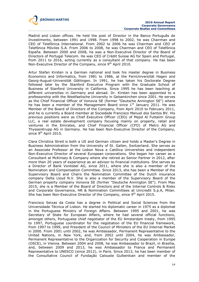

Madrid and Lisbon offices. He held the post of Director in the Banco Português de Investimento, between 1991 and 1998. From 1998 to 2002, he was Chairman and CEO of Telefónica International. From 2002 to 2006 he was Chairman and CEO of Telefónica Móviles S.A. From 2006 to 2008, he was Chairman and CEO of Telefónica España. Between 2000 and 2008, he was a Non-Executive Director of the Board of Directors of Portugal Telecom. He was CEO of Crédit Suisse AG for Spain and Portugal, from 2011 to 2016, acting currently as a consultant of that company. He has been Non-Executive Director of the Company, since 9<sup>th</sup> April 2010.

Artur Stefan Kirsten is a German national and took his master degree in Business Economics and Informatics, from 1981 to 1986, at the FernUniversität Hagen and Georg-August-Universität Göttingen. In 1991, he has taken his Doctorate Degree followed later by the Stanford Executive Program with the Graduate School of Business of Stanford University in California. Since 1995 he has been teaching at different universities in Germany and abroad. Dr. Kirsten has been appointed to a professorship with the Westfaelische University in Gelsenkirchen since 2001. He serves as the Chief Financial Officer of Vonovia SE (former "Deutsche Annington SE") where he has been a member of the Management Board since  $1<sup>st</sup>$  January 2011. He was Member of the Board of Directors of the Company, from April 2010 to February 2011, and he is currently a Board member at Sociedade Francisco Manuel dos Santos BV. His previous positions were as Chief Executive Officer (CEO) of Majid Al Futtaiim Group LLC, a real estate development company focusing mainly on property, retail and ventures in the Emirates, and Chief Financial Officer (CFO) of Metro AG and ThyssenKrupp AG in Germany. He has been Non-Executive Director of the Company, since 9<sup>th</sup> April 2015.

Clara Christina Streit is both a US and German citizen and holds a Master's Degree in Business Administration from the University of St. Gallen, Switzerland. She serves as an Associate Professor at the Lisbon Nova e Católica Universities and independent Non-Executive Director of several European corporations. She began her career as a Consultant at McKinsey & Company where she retired as Senior Partner in 2012, after more than 20 years of experience as an advisor to financial institutions. She serves as a Director of Bank Vontobel AG, since 2011, where she is also a member of the Nomination and Compensation Committee. Since 2013, she has been a Member of the Supervisory Board and Chairs the Nomination Committee of the Dutch insurance company Delta Lloyd N.V. She is also a member of the Supervisory Board of the German property company Vonovia SE (former "Deutsche Annington SE"). From May 2015, she is a Member of the Board of Directors and of the Internal Controls & Risks and Corporate Governance, HR & Nomination Committees at Unicredit S.p.A, Milan. She has been Non-Executive Director of the Company, since  $9<sup>th</sup>$  April 2015.

Francisco Seixas da Costa has a degree in Political and Social Sciences from the Universidade Técnica of Lisbon. He started his diplomatic career in 1975 as a diplomat in the Portuguese Ministry of Foreign Affairs. Between 1995 and 2001, he was Secretary of State for European Affairs, where he had several official functions, amongst others, Portuguese chief negotiator of the EU Amsterdam treaty, from 1995 to 1997, Portuguese coordinator for the negotiation of the EU financial framework, from 1997 to 1999, and President of the Council of Ministers of the EU Internal Market in 2000. From 2001 until 2002, he was Ambassador, Permanent Representative to the United Nations, in New York, and, from 2002 until 2004, he was Ambassador, Permanent Representative to the Organization for Security and Cooperation in Europe (OSCE), in Vienna. Between 2004 and 2008, he was Ambassador to Brazil, in Brasília, and, between 2009 and 2013, he was Ambassador to France and Permanent Representative to UNESCO (since 2012), in Paris. Since 2013, he has been member of the Consultative Council of Fundação Calouste Gulbenkian and member of the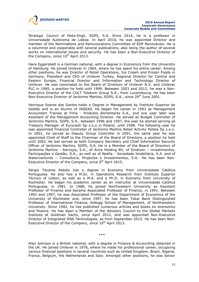

Strategic Council of Mota-Engil, SGPS, S.A. Since 2014, he is a professor in Universidade Autónoma de Lisboa. In April 2016, he was appointed Director and member of the Nominations and Remunerations Committee of EDP Renováveis. He is a columnist and cooperates with several publications, also being the author of several works on international issues and security. He has been a Non-Executive Director of the Company, since  $10^{th}$  April 2013.

Hans Eggerstedt is a German national, with a degree in Economics from the University of Hamburg. He joined Unilever in 1964, where he has spent his entire career. Among other positions, he was Director of Retail Operations, Ice Cream and Frozen Foods in Germany, President and CEO of Unilever Turkey, Regional Director for Central and Eastern Europe, Financial Director and Information and Technology Director of Unilever. He was nominated to the Board of Directors of Unilever N.V. and Unilever PLC in 1985, a position he held until 1999. Between 2003 and 2012, he was a Non-Executive Director of the COLT Telekom Group S.A., from Luxembourg. He has been Non-Executive Director of Jerónimo Martins, SGPS, S.A., since 29<sup>th</sup> June 2001.

Henrique Soares dos Santos holds a Degree in Management by Instituto Superior de Gestão and is an Alumni of INSEAD. He began his career in 1993 as Management Accountant Trainee at Fima - Produtos Alimentares S.A., and one year later was Assistant of the Management Accounting Director. He served as Budget Controller of Jerónimo Martins, SGPS, S.A., between 1996 and 1997, the year he started serving as Treasury Manager of Eurocash Sp z.o.o in Poland, until 1998. The following year he was appointed Financial Controller of Jerónimo Martins Retail Activity Polska Sp z.o.o. In 2001, he served as Deputy Group Controller in 2001, the same year he was appointed Chief of Staff to the Chairman of the Board of Directors, a position he held until 2002. He last served as both Company Secretary and Chief Information Security Officer of Jerónimo Martins, SGPS, S.A. He is a Member of the Board of Directors of Jerónimo Martins - Serviços, S.A., of Arica Holding BV, of Sindcom – lnvestimentos, Participações e Gestão, S.A., as well as of Nesfia - Sociedade Imobiliária, S.A. and of Waterventures – Consultoria, Projectos e Investimentos, S.A.. He has been Non-Executive Director of the Company, since  $9<sup>th</sup>$  April 2015.

Sérgio Tavares Rebelo has a degree in Economy from Universidade Católica Portuguesa. He also has a M.Sc. in Operations Research from Instituto Superior Técnico of Lisbon, as well as a M.A. and a Ph.D. in Economy from University of Rochester. He began his academic career as an instructor at Universidade Católica Portuguesa, in 1981. In 1988, he joined Northwestern University as Assistant Professor of Finance and became Associated Professor of Finance, in 1991. Between 1992 and 1997, he was Associated Professor of the Department of Economics of the University of Rochester and, since 1997, he has been Tokai Bank Distinguished Professor of International Finance, Kellogg School of Management, of Northwestern University. Since 1982, he has published numerous articles and books on economics and finance. He has been a Member of the Advisory Council to the Global Markets Institute at Goldman Sachs, since April 2012, and was appointed Non-Executive Director of Integrated DNA Technologies, as from September 2015. He has been Non-Executive Director of the Company, since  $10^{th}$  April 2013.

\*\*\*

Alan Johnson is a British national, with a degree in Finance & Accounting obtained in the UK. He joined Unilever in 1976, where he made his professional career, occupying various financial positions in several countries such as United Kingdom, Brazil, Nigeria, France, Belgium, the Netherlands and Italy. Amongst other positions, he was Senior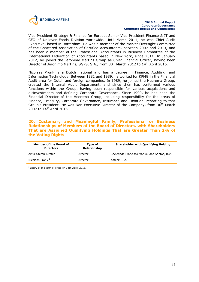

Vice President Strategy & Finance for Europe, Senior Vice President Finance & IT and CFO of Unilever Foods Division worldwide. Until March 2011, he was Chief Audit Executive, based in Rotterdam. He was a member of the Market Oversight Committee of the Chartered Association of Certified Accountants, between 2007 and 2013, and has been a member of the Professional Accountants in Business Committee of the International Federation of Accountants based in New York, since 2011. In January 2012, he joined the Jerónimo Martins Group as Chief Financial Officer, having been Director of Jerónimo Martins, SGPS, S.A., from 30<sup>th</sup> March 2012 to 14<sup>th</sup> April 2016.

Nicolaas Pronk is a Dutch national and has a degree in Finance, Auditing, and Information Technology. Between 1981 and 1989, he worked for KPMG in the Financial Audit area for Dutch and foreign companies. In 1989, he joined the Heerema Group, created the Internal Audit Department, and since then has performed various functions within the Group, having been responsible for various acquisitions and disinvestments and defining Corporate Governance. Since 1999, he has been the Financial Director of the Heerema Group, including responsibility for the areas of Finance, Treasury, Corporate Governance, Insurance and Taxation, reporting to that Group's President. He was Non-Executive Director of the Company, from 30<sup>th</sup> March 2007 to 14<sup>th</sup> April 2016.

# **20. Customary and Meaningful Family, Professional or Business Relationships of Members of the Board of Directors, with Shareholders That are Assigned Qualifying Holdings That are Greater Than 2% of the Voting Rights**

| Member of the Board of<br><b>Directors</b> | Type of<br>Relationship | <b>Shareholder with Qualifying Holding</b>  |
|--------------------------------------------|-------------------------|---------------------------------------------|
| Artur Stefan Kirsten                       | Director                | Sociedade Francisco Manuel dos Santos, B.V. |
| Nicolaas Pronk <sup>1</sup>                | Director                | Asteck, S.A.                                |

<sup>1</sup> Expiry of the term of office on 14th April, 2016.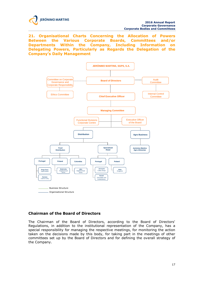

**21. Organisational Charts Concerning the Allocation of Powers Between the Various Corporate Boards, Committees and/or Departments Within the Company, Including Information on Delegating Powers, Particularly as Regards the Delegation of the Company's Daily Management**



# **Chairman of the Board of Directors**

The Chairman of the Board of Directors, according to the Board of Directors' Regulations, in addition to the institutional representation of the Company, has a special responsibility for managing the respective meetings, for monitoring the action taken on the decisions made by this body, for taking part in the meetings of other committees set up by the Board of Directors and for defining the overall strategy of the Company.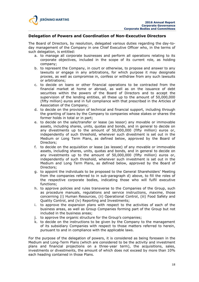

#### **Delegation of Powers and Coordination of Non-Executive Directors**

The Board of Directors, by resolution, delegated various duties regarding the day-today management of the Company in one Chief Executive Officer who, in the terms of such delegation, is entitled:

- a. to manage all corporate businesses and perform all operations relating to its corporate objectives, included in the scope of its current role, as holding company;
- b. to represent the Company, in court or otherwise, to propose and answer to any lawsuits or engage in any arbitrations, for which purpose it may designate proxies, as well as compromise in, confess or withdraw from any such lawsuits or arbitrations;
- c. to decide on loans or other financial operations to be contracted from the financial market at home or abroad, as well as on the issuance of debt securities within the powers of the Board of Directors and to accept the supervision of the lending entities, all these up to the amount of 50,000,000 (fifty million) euros and in full compliance with that prescribed in the Articles of Association of the Company;
- d. to decide on the provision of technical and financial support, including through the granting of loans by the Company to companies whose stakes or shares the former holds in total or in part;
- e. to decide on the sale/transfer or lease (as lessor) any movable or immovable assets, including shares, units, quotas and bonds, and in general to decide on any divestments up to the amount of 50,000,000 (fifty million) euros or, independently of such threshold, whenever such divestment is set out in the Medium or Long Term Plans, as defined below, approved by the Board of Directors;
- f. to decide on the acquisition or lease (as lessee) of any movable or immovable assets, including shares, units, quotas and bonds, and in general to decide on any investments up to the amount of 50,000,000 (fifty million) euros or, independently of such threshold, whenever such investment is set out in the Medium and Long Term Plans, as defined below, approved by the Board of Directors;
- g. to appoint the individuals to be proposed to the General Shareholders' Meeting from the companies referred to in sub-paragraph d) above, to fill the roles of the respective corporate bodies, indicating those who will fulfil executive functions;
- h. to approve policies and rules transverse to the Companies of the Group, such as procedure manuals, regulations and service instructions, *maxime*, those concerning (i) Human Resources, (ii) Operational Control, (iii) Food Safety and Quality Control, and (iv) Reporting and Investments;
- i. to approve the expansion plans with respect to the activities of each of the business areas, as well as Group Companies forming part of the Group but not included in the business areas;
- j. to approve the organic structure for the Group's companies;
- k. to decide on the instructions to be given by the Company to the management of its subsidiary Companies with respect to those matters referred to herein, pursuant to and in compliance with the applicable laws.

For the purpose of the delegation of powers, it is considered as being foreseen in the Medium and Long-Term Plans (which are considered to be the activity and investment plans and financial projections on a three-year term), the acquisitions, sales, investments or divestments, the amount of which does not exceed by more than 10% each heading contained in those Plans.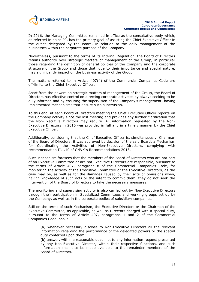

In 2016, the Managing Committee remained in office as the consultative body which, as referred in point 29, has the primary goal of assisting the Chief Executive Officer in the duties delegated by the Board, in relation to the daily management of the businesses within the corporate purpose of the Company.

Nevertheless, pursuant to the terms of its Internal Regulation, the Board of Directors retains authority over strategic matters of management of the Group, in particular those regarding the definition of general policies of the Company and the corporate structure of the Group and those that, due to their importance and special nature, may significantly impact on the business activity of the Group.

The matters referred to in Article 407(4) of the Commercial Companies Code are off-limits to the Chief Executive Officer.

Apart from the powers on strategic matters of management of the Group, the Board of Directors has effective control on directing corporate activities by always seeking to be duly informed and by ensuring the supervision of the Company's management, having implemented mechanisms that ensure such supervision.

To this end, at each Board of Directors meeting the Chief Executive Officer reports on the Company activity since the last meeting and provides any further clarification that the Non-Executive Directors may require. All information requested by the Non-Executive Directors in 2016 was provided in full and in a timely manner by the Chief Executive Officer.

Additionally, considering that the Chief Executive Officer is, simultaneously, Chairman of the Board of Directors, it was approved by decision of the said Board, a Mechanism for Coordinating the Activities of Non-Executive Directors, complying with recommendation II.1.10 of CMVM's Recommendations 2013.

Such Mechanism foresees that the members of the Board of Directors who are not part of an Executive Committee or are not Executive Directors are responsible, pursuant to the terms of Article 407, paragraph 8 of the Commercial Companies Code, for monitoring the activity of the Executive Committee or the Executive Directors, as the case may be, as well as for the damages caused by their acts or omissions when, having knowledge of such acts or the intent to commit them, they do not seek the intervention of the Board of Directors to take the necessary measures.

The monitoring and supervising activity is also carried out by Non-Executive Directors through their participation in Specialized Committees and working groups set up by the Company, as well as in the corporate bodies of subsidiary companies.

Still on the terms of such Mechanism, the Executive Directors or the Chairman of the Executive Committee, as applicable, as well as Directors charged with a special duty, pursuant to the terms of Article 407, paragraphs 1 and 2 of the Commercial Companies Code, shall:

(a) whenever necessary disclose to Non-Executive Directors all the relevant information regarding the performance of the delegated powers or the special duty conferred upon them;

(b) answer, within a reasonable deadline, to any information request presented by any Non-Executive Director, within their respective functions, and such information shall also be made available to the remainder members of the Board of Directors.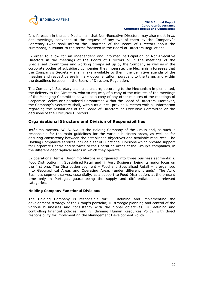

It is foreseen in the said Mechanism that Non-Executive Directors may also meet in *ad hoc* meetings, convened at the request of any two of them by the Company´s Secretary (who shall inform the Chairman of the Board of Directors about the summons), pursuant to the terms foreseen in the Board of Directors Regulations.

In order to allow for an independent and informed participation of Non-Executive Directors in the meetings of the Board of Directors or in the meetings of the Specialised Committees and working groups set up by the Company as well as in the corporate bodies of subsidiary companies they integrate, the Mechanism foresees that the Company's Secretary shall make available to them the definitive agenda of the meeting and respective preliminary documentation, pursuant to the terms and within the deadlines foreseen in the Board of Directors Regulation.

The Company's Secretary shall also ensure, according to the Mechanism implemented, the delivery to the Directors, who so request, of a copy of the minutes of the meetings of the Managing Committee as well as a copy of any other minutes of the meetings of Corporate Bodies or Specialised Committees within the Board of Directors. Moreover, the Company's Secretary shall, within its duties, provide Directors with all information regarding the resolutions of the Board of Directors or Executive Committee or the decisions of the Executive Directors.

# **Organisational Structure and Division of Responsibilities**

Jerónimo Martins, SGPS, S.A. is the Holding Company of the Group and, as such is responsible for the main guidelines for the various business areas, as well as for ensuring consistency between the established objectives and available resources. The Holding Company's services include a set of Functional Divisions which provide support for Corporate Centre and services to the Operating Areas of the Group's companies, in the different geographical areas in which they operate.

In operational terms, Jerónimo Martins is organised into three business segments: i. Food Distribution, ii. Specialised Retail and iii. Agro Business, being its major focus on the first one. The Distribution segment – Food and Specialised Retail – is organised into Geographical Areas and Operating Areas (under different brands). The Agro Business segment serves, essentially, as a support to Food Distribution, at the present time only in Portugal, guaranteeing the supply and differentiation in relevant categories.

#### **Holding Company Functional Divisions**

The Holding Company is responsible for: i. defining and implementing the development strategy of the Group's portfolio; ii. strategic planning and control of the various businesses and consistency with the global objectives; iii. defining and controlling financial policies; and iv. defining Human Resources Policy, with direct responsibility for implementing the Management Development Policy.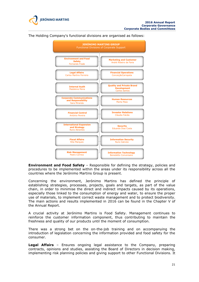



The Holding Company's functional divisions are organised as follows:

**Environment and Food Safety** – Responsible for defining the strategy, policies and procedures to be implemented within the areas under its responsibility across all the countries where the Jerónimo Martins Group is present.

Concerning the environment, Jerónimo Martins has defined the principle of establishing strategies, processes, projects, goals and targets, as part of the value chain, in order to minimise the direct and indirect impacts caused by its operations, especially those linked to the consumption of energy and water, to ensure the proper use of materials, to implement correct waste management and to protect biodiversity. The main actions and results implemented in 2016 can be found in the Chapter V of the Annual Report.

A crucial activity at Jerónimo Martins is Food Safety. Management continues to reinforce the customer information component, thus contributing to maintain the freshness and quality of our products until the moment of consumption.

There was a strong bet on the on-the-job training and on accompanying the introduction of legislation concerning the information provided and food safety for the consumer.

**Legal Affairs** – Ensures ongoing legal assistance to the Company, preparing contracts, opinions and studies, assisting the Board of Directors in decision making, implementing risk planning policies and giving support to other Functional Divisions. It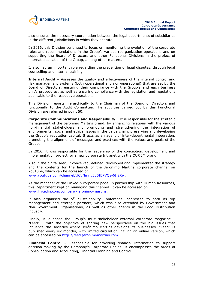

also ensures the necessary coordination between the legal departments of subsidiaries in the different jurisdictions in which they operate.

In 2016, this Division continued to focus on monitoring the evolution of the corporate rules and recommendations in the Group's various reorganization operations and on supporting the Board of Directors and other Functional Divisions in the project of internationalisation of the Group, among other matters.

It also had an important role regarding the prevention of legal disputes, through legal counselling and internal training.

**Internal Audit** – Assesses the quality and effectiveness of the internal control and risk management systems (both operational and non-operational) that are set by the Board of Directors, ensuring their compliance with the Group's and each business unit's procedures, as well as ensuring compliance with the legislation and regulations applicable to the respective operations.

This Division reports hierarchically to the Chairman of the Board of Directors and functionally to the Audit Committee. The activities carried out by this Functional Division are referred in point 50.

**Corporate Communications and Responsibility** – It is responsible for the strategic management of the Jerónimo Martins brand, by enhancing relations with the various non-financial stakeholders and promoting and strengthening the integration of environmental, social and ethical issues in the value chain, preserving and developing the Group's reputation capital. It acts as an agent of inter-departmental integration, promoting the alignment of messages and practices with the values and goals of the Group.

In 2016, it was responsible for the leadership of the conception, development and implementation project for a new corporate Intranet with the OUR JM brand.

Also in the digital area, it conceived, defined, developed and implemented the strategy and the contents for the launch of the Jerónimo Martins corporate channel on YouTube, which can be accessed on www.youtube.com/channel/UCvNmrfc3d5IBPVQs-6Ij2Rw.

As the manager of the LinkedIn corporate page, in partnership with Human Resources, this Department kept on managing this channel. It can be accessed on www.linkedin.com/company/jeronimo-martins.

It also organised the  $5<sup>th</sup>$  Sustainability Conference, addressed to both its top management and strategic partners, which was also attended by Government and Non-Government Organisations, as well as other agents in the Food Distribution industry.

Finally, it launched the Group's multi-stakeholder external corporate magazine – "Feed" – with the objective of sharing new perspectives on the big issues that influence the societies where Jerónimo Martins develops its businesses. "Feed" is published every six months, with limited circulation, having an online version, which can be accessed on http://feed.jeronimomartins.com.

**Financial Control –** Responsible for providing financial information to support decision-making by the Company's Corporate Bodies. It encompasses the areas of Consolidation and Accounting, Financial Planning and Control.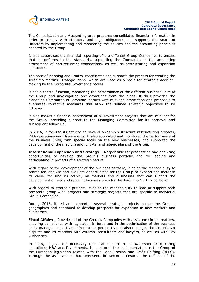

The Consolidation and Accounting area prepares consolidated financial information in order to comply with statutory and legal obligations and supports the Board of Directors by implementing and monitoring the policies and the accounting principles adopted by the Group.

It also supervises the financial reporting of the different Group Companies to ensure that it conforms to the standards, supporting the Companies in the accounting assessment of non-recurrent transactions, as well as restructuring and expansion operations.

The area of Planning and Control coordinates and supports the process for creating the Jerónimo Martins Strategic Plans, which are used as a basis for strategic decisionmaking by the Corporate Governance bodies.

It has a control function, monitoring the performance of the different business units of the Group and investigating any deviations from the plans. It thus provides the Managing Committee of Jerónimo Martins with relevant information and proposals to guarantee corrective measures that allow the defined strategic objectives to be achieved.

It also makes a financial assessment of all investment projects that are relevant for the Group, providing support to the Managing Committee for its approval and subsequent follow-up.

In 2016, it focused its activity on several ownership structure restructuring projects, M&A operations and Divestments. It also supported and monitored the performance of the business units, with special focus on the new businesses, and supported the development of the medium and long-term strategic plans of the Group.

**International Expansion and Strategy –** Responsible for prospecting and analysing opportunities to develop the Group's business portfolio and for leading and participating in projects of a strategic nature.

With regard to the development of the business portfolio, it holds the responsibility to search for, analyse and evaluate opportunities for the Group to expand and increase its value, focusing its activity on markets and businesses that can support the development of new and relevant business units for the Jerónimo Martins portfolio.

With regard to strategic projects, it holds the responsibility to lead or support both corporate group-wide projects and strategic projects that are specific to individual Group Companies.

During 2016, it led and supported several strategic projects across the Group's geographies and continued to develop prospects for expansion in new markets and businesses.

**Fiscal Affairs** – Provides all of the Group's Companies with assistance in tax matters, ensuring compliance with legislation in force and in the optimisation of the business units' management activities from a tax perspective. It also manages the Group's tax disputes and its relations with external consultants and lawyers, as well as with Tax Authorities.

In 2016, it gave the necessary technical support in all ownership restructuring operations, M&A and Divestments. It monitored the implementation in the Group of the European legislation related with the Base Erosion and Profit Shifting (BEPS). Through the associations that represent the sector it ensured the defense of the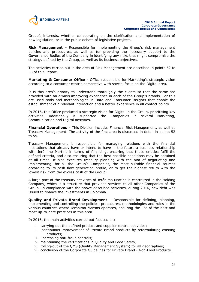

Group's interests, whether collaborating on the clarification and implementation of new legislation, or in the public debate of legislative projects.

**Risk Management** – Responsible for implementing the Group's risk management policies and procedures, as well as for providing the necessary support to the Governance Bodies of the Company in identifying any risks that might compromise the strategy defined by the Group, as well as its business objectives.

The activities carried out in the area of Risk Management are described in points 52 to 55 of this Report.

**Marketing & Consumer Office** - Office responsible for Marketing's strategic vision according to a consumer centric perspective with special focus on the Digital area.

It is this area's priority to understand thoroughly the clients so that the same are provided with an always improving experience in each of the Group's brands. For this are used tools and methodologies in Data and Consumer Insights that enable the establishment of a relevant interaction and a better experience in all contact points.

In 2016, this Office produced a strategic vision for Digital in the Group, prioritising key activities. Additionally it supported the Companies in several Marketing, Communication and Digital activities.

**Financial Operations** – This Division includes Financial Risk Management, as well as Treasury Management. The activity of the first area is discussed in detail in points 52 to 55.

Treasury Management is responsible for managing relations with the financial institutions that already have or intend to have in the future a business relationship with Jerónimo Martins in terms of financing, ensuring that these entities fulfil the defined criteria, and also ensuring that the best possible conditions may be obtained at all times. It also executes treasury planning with the aim of negotiating and implementing, for all the Group's Companies, the most suitable financial sources according to its cash flow generation profile, or to get the highest return with the lowest risk from the excess cash of the Group.

A large part of the treasury activities of Jerónimo Martins is centralized in the Holding Company, which is a structure that provides services to all other Companies of the Group. In compliance with the above-described activities, during 2016, new debt was issued to finance the investments in Colombia.

**Quality and Private Brand Development** – Responsible for defining, planning, implementing and controlling the policies, procedures, methodologies and rules in the various countries where Jerónimo Martins operates, ensuring the use of the best and most up-to-date practices in this area.

In 2016, the main activities carried out focused on:

- i. carrying out the defined product and supplier control activities;
- ii. continuous improvement of Private Brand products by reformulating existing products;
- iii. increasing anti-fraud controls;
- iv. maintaining the certifications in Quality and Food Safety;
- v. rolling-out of the QMS (Quality Management System) for all geographies;
- vi. conclusion of the Corporate Guidelines for Private Brand Non-Food Products.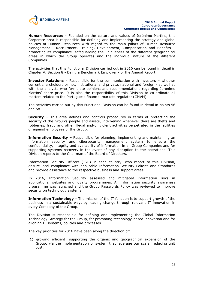

**Human Resources** – Founded on the culture and values of Jerónimo Martins, this Corporate area is responsible for defining and implementing the strategy and global policies of Human Resources with regard to the main pillars of Human Resource Management - Recruitment, Training, Development, Compensation and Benefits – promoting its compliance, safeguarding the uniqueness of the different geographical areas in which the Group operates and the individual nature of the different Companies.

The activities that this Functional Division carried out in 2016 can be found in detail in Chapter V, Section 8 - Being a Benchmark Employer - of the Annual Report.

**Investor Relations** – Responsible for the communication with investors – whether current shareholders or not, institutional and private, national and foreign - as well as with the analysts who formulate opinions and recommendations regarding Jerónimo Martins' share price. It is also the responsibility of this Division to co-ordinate all matters related to the Portuguese financial markets regulator (CMVM).

The activities carried out by this Functional Division can be found in detail in points 56 and 58.

**Security** – This area defines and controls procedures in terms of protecting the security of the Group's people and assets, intervening whenever there are thefts and robberies, fraud and other illegal and/or violent activities perpetrated in the facilities or against employees of the Group.

**Information Security –** Responsible for planning, implementing and maintaining an information security and cibersecurity management system to ensure the confidentiality, integrity and availability of information in all Group Companies and for supporting systems recovery in the event of any disruption to the operations. This Division reports to the Chairman of the Board of Directors.

Information Security Officers (ISO) in each country, who report to this Division, ensure local compliance with applicable Information Security Policies and Standards and provide assistance to the respective business and support areas.

In 2016, Information Security assessed and mitigated information risks in applications, websites and loyalty programmes. An information security awareness programme was launched and the Group Passwords Policy was reviewed to improve security on technology systems.

**Information Technology** – The mission of the IT function is to support growth of the business in a sustainable way, by leading change through relevant IT innovation in every Company of the Group.

The Division is responsible for defining and implementing the Global Information Technology Strategy for the Group, for promoting technology-based innovation and for aligning IT systems, policies and processes.

The key priorities for 2016 have been along the direction of:

1) growing efficient: supporting the organic and geographical expansion of the Group, via the implementation of system that leverage our scale, reducing unit cost;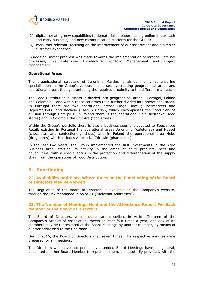

- 2) digital: creating new capabilities to dematerialize paper, selling online in our cash and carry business, and new communication platform for the Group;
- 3) consumer relevant: focusing on the improvement of our assortment and a simpler customer experience.

In addition, major progress was made towards the implementation of stronger internal processes, like Enterprise Architecture, Portfolio Management and Project Management.

#### **Operational Areas**

The organisational structure of Jerónimo Martins is aimed mainly at ensuring specialisation in the Group's various businesses by creating geographical areas and operational areas, thus guaranteeing the required proximity to the different markets.

The Food Distribution business is divided into geographical areas - Portugal, Poland and Colombia – and within those countries then further divided into operational areas. In Portugal there are two operational areas: Pingo Doce (Supermarkets and Hypermarkets) and Recheio (Cash & Carry), which encompasses the Food Service division through Caterplus. In Poland there is the operational unit Biedronka (food stores) and in Colombia the unit Ara (food stores).

Within the Group's portfolio there is also a business segment devoted to Specialised Retail, existing in Portugal the operational areas Jeronymo (cafeterias) and Hussel (chocolates and confectionery shops) and in Poland the operational area Hebe (drugstores) which includes Apteka Na Zdrowie (pharmacies).

In the last two years, the Group implemented the first investments in the Agro Business area, starting its activity in the areas of dairy products, beef and aquaculture, with a special focus in the protection and differentiation of the supply chain from the operations of Food Distribution.

# **B. Functioning**

## **22. Availability and Place Where Rules on the Functioning of the Board of Directors May be Viewed**

The Regulation of the Board of Directors is available on the Company's website, through the link mentioned in point 61 ("Relevant Addresses").

#### **23. The Number of Meetings Held and the Attendance Report For Each Member of the Board of Directors**

The Board of Directors, whose duties are described in Article Thirteen of the Company's Articles of Association, meets at least four times a year, and any of its members may be represented at the Board Meetings by another member, by means of a letter addressed to the Chairman.

During 2016, the Board of Directors met seven times. The respective minutes were prepared for all meetings.

The Directors who have not personally attended Board Meetings have, in general, appointed another Board Member to represent them, as statutorily provided, with the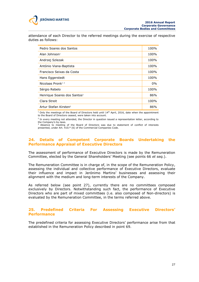

attendance of each Director to the referred meetings during the exercise of respective duties as follows:

| Pedro Soares dos Santos                 | 100%  |
|-----------------------------------------|-------|
| Alan Johnson <sup>1</sup>               | 100%  |
| Andrzej Szlezak                         | 100%  |
| António Viana-Baptista                  | 100%  |
| Francisco Seixas da Costa               | 100%  |
| Hans Eggerstedt                         | 100%  |
| Nicolaas Pronk <sup>12</sup>            | $0\%$ |
| Sérgio Rebelo                           | 100%  |
| Henrique Soares dos Santos <sup>3</sup> | 86%   |
| Clara Streit                            | 100%  |
| Artur Stefan Kirsten <sup>3</sup>       | 86%   |

 $1$  Only the meetings of the Board of Directors held until  $14<sup>th</sup>$  April, 2016, date when the appointment to the Board of Directors ceased, were taken into account.

 $2$  In every meeting not attended, the Director in question issued a representation letter, according to the Company's by-laws.

## **24. Details of Competent Corporate Boards Undertaking the Performance Appraisal of Executive Directors**

The assessment of performance of Executive Directors is made by the Remuneration Committee, elected by the General Shareholders' Meeting (see points 66 *et seq.*).

The Remuneration Committee is in charge of, in the scope of the Remuneration Policy, assessing the individual and collective performance of Executive Directors, evaluate their influence and impact in Jerónimo Martins' businesses and assessing their alignment with the medium and long-term interests of the Company.

As referred below (see point 27), currently there are no committees composed exclusively by Directors. Notwithstanding such fact, the performance of Executive Directors who are part of mixed committees (i.e. also composed of Non-directors) is evaluated by the Remuneration Committee, in the terms referred above.

## **25. Predefined Criteria For Assessing Executive Directors' Performance**

The predefined criteria for assessing Executive Directors' performance arise from that established in the Remuneration Policy described in point 69.

<sup>&</sup>lt;sup>3</sup> Absence to meeting of the Board of Directors was due to statement of conflict of interests presented, under Art. 410.º (6) of the Commercial Companies Code.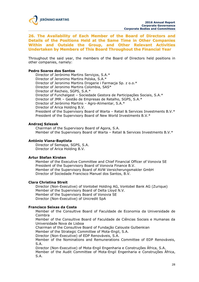

**26. The Availability of Each Member of the Board of Directors and Details of the Positions Held at the Same Time in Other Companies Within and Outside the Group, and Other Relevant Activities Undertaken by Members of This Board Throughout the Financial Year**

Throughout the said year, the members of the Board of Directors held positions in other companies, namely:

#### **Pedro Soares dos Santos**

Director of Jerónimo Martins Serviços, S.A.\* Director of Jeronimo Martins Polska, S.A.\* Director of Jeronimo Martins Drogerie i Farmacja Sp. z o.o.\* Director of Jeronimo Martins Colombia, SAS\* Director of Recheio, SGPS, S.A.\* Director of Funchalgest – Sociedade Gestora de Participações Sociais, S.A.\* Director of JMR – Gestão de Empresas de Retalho, SGPS, S.A.\* Director of Jerónimo Martins – Agro-Alimentar, S.A.\* Director of Arica Holding B.V. President of the Supervisory Board of Warta – Retail & Services Investments B.V.\* President of the Supervisory Board of New World Investments B.V.\*

#### **Andrzej Szlezak**

Chairman of the Supervisory Board of Agora, S.A. Member of the Supervisory Board of Warta – Retail & Services Investments B.V.\*

#### **António Viana-Baptista**

Director of Semapa, SGPS, S.A. Director of Arica Holding B.V.

#### **Artur Stefan Kirsten**

Member of the Executive Committee and Chief Financial Officer of Vonovia SE President of the Supervisory Board of Vonovia Finance B.V. Member of the Supervisory Board of AVW Versicherungsmakler GmbH Director of Sociedade Francisco Manuel dos Santos, B.V.

#### **Clara Christina Streit**

Director (Non-Executive) of Vontobel Holding AG, Vontobel Bank AG (Zurique) Member of the Supervisory Board of Delta Lloyd N.V. Member of the Supervisory Board of Vonovia SE Director (Non-Executive) of Unicredit SpA

#### **Francisco Seixas da Costa**

Member of the Consultive Board of Faculdade de Economia da Universidade de Coimbra

Member of the Consultive Board of Faculdade de Ciências Sociais e Humanas da Universidade Nova de Lisboa

Chairman of the Consultive Board of Fundação Calouste Gulbenkian

Member of the Strategic Committee of Mota-Engil, S.A.

Director (Non-Executive) of EDP Renováveis, S.A.

Member of the Nominations and Remunerations Committee of EDP Renováveis, S.A.

Director (Non-Executive) of Mota-Engil Engenharia e Construções África, S.A.

Member of the Audit Committee of Mota-Engil Engenharia e Construções África, S.A.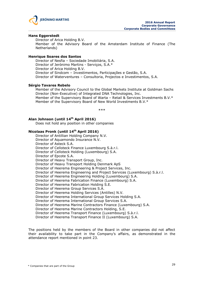

#### **Hans Eggerstedt**

Director of Arica Holding B.V.

Member of the Advisory Board of the Amsterdam Institute of Finance (The Netherlands)

#### **Henrique Soares dos Santos**

Director of Nesfia – Sociedade Imobiliária, S.A. Director of Jerónimo Martins - Serviços, S.A.\* Director of Arica Holding B.V. Director of Sindcom – Investimentos, Participações e Gestão, S.A. Director of Waterventures – Consultoria, Projectos e Investimentos, S.A.

#### **Sérgio Tavares Rebelo**

Member of the Advisory Council to the Global Markets Institute at Goldman Sachs Director (Non-Executive) of Integrated DNA Technologies, Inc. Member of the Supervisory Board of Warta – Retail & Services Investments B.V.\* Member of the Supervisory Board of New World Investments B.V.\*

\*\*\*

# **Alan Johnson (until 14th April 2016)**

Does not hold any position in other companies

#### **Nicolaas Pronk (until 14th April 2016)**

Director of Antillian Holding Company N.V. Director of Aquamondo Insurance N.V. Director of Asteck S.A. Director of Celloteck Finance Luxembourg S.à.r.l. Director of Celloteck Holding (Luxembourg) S.A. Director of Epcote S.A. Director of Heavy Transport Group, Inc. Director of Heavy Transport Holding Denmark ApS Director of Heerema Engineering & Project Services, Inc. Director of Heerema Engineering and Project Services (Luxembourg) S.à.r.l. Director of Heerema Engineering Holding (Luxembourg) S.A. Director of Heerema Fabrication Finance (Luxembourg) S.A. Director of Heerema Fabrication Holding S.E. Director of Heerema Group Services S.A. Director of Heerema Holding Services (Antilles) N.V. Director of Heerema International Group Services Holding S.A. Director of Heerema International Group Services S.A. Director of Heerema Marine Contractors Finance (Luxembourg) S.A. Director of Heerema Marine Contractors Holding, S.E. Director of Heerema Transport Finance (Luxembourg) S.à.r.l. Director of Heerema Transport Finance II (Luxembourg) S.A.

The positions held by the members of the Board in other companies did not affect their availability to take part in the Company's affairs, as demonstrated in the attendance report mentioned in point 23.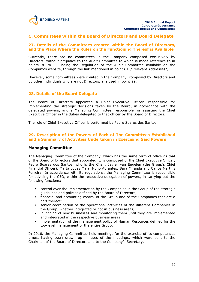

# **C. Committees within the Board of Directors and Board Delegate**

## **27. Details of the Committees created within the Board of Directors, and the Place Where the Rules on the Functioning Thereof is Available**

Currently, there are no committees in the Company composed exclusively by Directors, without prejudice to the Audit Committee to which is made reference to in points 30 to 33, being the Regulation of the Audit Committee available on the Company's website, through the link mentioned in point 61 ("Relevant Addresses").

However, some committees were created in the Company, composed by Directors and by other individuals who are not Directors, analysed in point 29.

#### **28. Details of the Board Delegate**

The Board of Directors appointed a Chief Executive Officer, responsible for implementing the strategic decisions taken by the Board, in accordance with the delegated powers, and a Managing Committee, responsible for assisting the Chief Executive Officer in the duties delegated to that officer by the Board of Directors.

The role of Chief Executive Officer is performed by Pedro Soares dos Santos.

#### **29. Description of the Powers of Each of The Committees Established and a Summary of Activities Undertaken in Exercising Said Powers**

#### **Managing Committee**

The Managing Committee of the Company, which has the same term of office as that of the Board of Directors that appointed it, is composed of the Chief Executive Officer, Pedro Soares dos Santos, who is the Chair, Javier van Engelen (the Group's Chief Financial Officer), Marta Lopes Maia, Nuno Abrantes, Sara Miranda and Carlos Martins Ferreira. In accordance with its regulations, the Managing Committee is responsible for advising the CEO, within the respective delegation of powers, in carrying out the following functions:

- control over the implementation by the Companies in the Group of the strategic guidelines and policies defined by the Board of Directors;
- financial and accounting control of the Group and of the Companies that are a part thereof;
- senior coordination of the operational activities of the different Companies in the Group, whether integrated or not in business areas;
- launching of new businesses and monitoring them until they are implemented and integrated in the respective business areas;
- **·** implementation of the management policy of Human Resources defined for the top-level management of the entire Group.

In 2016, the Managing Committee held meetings for the exercise of its competences times, having been drawn up minutes of the meetings, which were sent to the Chairman of the Board of Directors and to the Company's Secretary.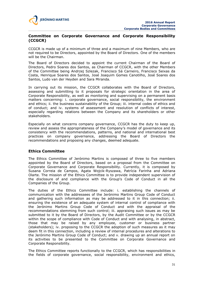

## **Committee on Corporate Governance and Corporate Responsibility (CCGCR)**

CCGCR is made up of a minimum of three and a maximum of nine Members, who are not required to be Directors, appointed by the Board of Directors. One of the members will be the Chairman.

The Board of Directors decided to appoint the current Chairman of the Board of Directors, Pedro Soares dos Santos, as Chairman of CCGCR, with the other Members of the Committee being Andrzej Szlezak, Francisco Sá Carneiro, Francisco Seixas da Costa, Henrique Soares dos Santos, José Joaquim Gomes Canotilho, José Soares dos Santos, Ludo van der Heyden and Sara Miranda.

In carrying out its mission, the CCGCR collaborates with the Board of Directors, assessing and submitting to it proposals for strategic orientation in the area of Corporate Responsibility, as well as monitoring and supervising on a permanent basis matters concerning: i. corporate governance, social responsibility, the environment and ethics; ii. the business sustainability of the Group; iii. internal codes of ethics and of conduct; and iv. systems of assessment and resolution of conflicts of interest, especially regarding relations between the Company and its shareholders or other stakeholders.

Especially on what concerns company governance, CCGCR has the duty to keep up, review and assess the appropriateness of the Company's model of governance and its consistency with the recommendations, patterns, and national and international best practices on company governance, addressing the Board of Directors the recommendations and proposing any changes, deemed adequate.

## **Ethics Committee**

The Ethics Committee of Jerónimo Martins is composed of three to five members appointed by the Board of Directors, based on a proposal from the Committee on Corporate Governance and Corporate Responsibility. Currently, it is composed by Susana Correia de Campos, Agata Wojcik-Ryszawa, Patrícia Farinha and Adriana Olarte. The mission of the Ethics Committee is to provide independent supervision of the disclosure of and compliance with the Group's Code of Conduct in all the Companies of the Group.

The duties of the Ethics Committee include: i. establishing the channels of communication with the addressees of the Jerónimo Martins Group Code of Conduct and gathering such information as may be addressed to it in this connection; ii. ensuring the existence of an adequate system of internal control of compliance with the Jerónimo Martins Group Code of Conduct and with the appraisal of the recommendations stemming from such control; iii. appraising such issues as may be submitted to it by the Board of Directors, by the Audit Committee or by the CCGCR within the scope of compliance with Code of Conduct and with analysing, in abstract, those that may be raised by any employee, customer or business partner (stakeholders); iv. proposing to the CCGCR the adoption of such measures as it may deem fit in this connection, including a review of internal procedures and alterations to the Jerónimo Martins Group Code of Conduct; and v. drawing up an annual report on its activities to be presented to the Committee on Corporate Governance and Corporate Responsibility.

The Ethics Committee reports functionally to the CCGCR, which has responsibilities in the fields of corporate governance, social responsibility, environment and ethics,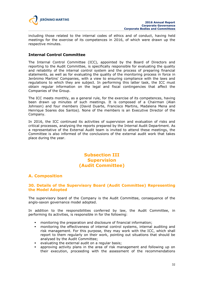

including those related to the internal codes of ethics and of conduct, having held meetings for the exercise of its competences in 2016, of which were drawn up the respective minutes.

# **Internal Control Committee**

The Internal Control Committee (ICC), appointed by the Board of Directors and reporting to the Audit Committee, is specifically responsible for evaluating the quality and reliability of the internal control system and the process of preparing financial statements, as well as for evaluating the quality of the monitoring process in force in Jerónimo Martins' Companies, with a view to ensuring compliance with the laws and regulations to which they are subject. In performing this latter task, the ICC must obtain regular information on the legal and fiscal contingencies that affect the Companies of the Group.

The ICC meets monthly, as a general rule, for the exercise of its competences, having been drawn up minutes of such meetings. It is composed of a Chairman (Alan Johnson) and four members (David Duarte, Francisco Martins, Madalena Mena and Henrique Soares dos Santos). None of the members is an Executive Director of the Company.

In 2016, the ICC continued its activities of supervision and evaluation of risks and critical processes, analysing the reports prepared by the Internal Audit Department. As a representative of the External Audit team is invited to attend these meetings, the Committee is also informed of the conclusions of the external audit work that takes place during the year.

# **Subsection III Supervision (Audit Committee)**

# **A. Composition**

# **30. Details of the Supervisory Board (Audit Committee) Representing the Model Adopted**

The supervisory board of the Company is the Audit Committee, consequence of the anglo-saxon governance model adopted.

In addition to the responsibilities conferred by law, the Audit Committee, in performing its activities, is responsible in for the following:

- monitoring the preparation and disclosure of financial information;
- monitoring the effectiveness of internal control systems, internal auditing and risk management. For this purpose, they may work with the ICC, which shall report to them regularly on their work, pointing out situations that should be analysed by the Audit Committee;
- evaluating the external audit on a regular basis;
- approving activity plans in the area of risk management and following up on their execution, proceeding with the assessment of the recommendations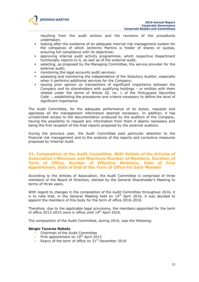

resulting from the audit actions and the revisions of the procedures undertaken;

- looking after the existence of an adequate internal risk management system for the companies of which Jerónimo Martins is holder of shares or quotas, ensuring full compliance with its objectives;
- approving internal audit activity programmes, which respective Department functionally reports to it, as well as of the external audit;
- selecting, as proposed by the Managing Committee, the service provider for the external audit;
- monitoring the legal accounts audit services;
- assessing and monitoring the independence of the Statutory Auditor, especially when it performs additional services for the Company;
- issuing prior opinion on transactions of significant importance between the Company and its shareholders with qualifying holdings – or entities with them related under the terms of Article 20, no. 1 of the Portuguese Securities Code –, establishing the procedures and criteria necessary to define the level of significant importance.

The Audit Committee, for the adequate performance of its duties, requests and appraises all the management information deemed necessary. In addition, it has unrestricted access to the documentation produced by the auditors of the Company, having the possibility to request any information from them it deems necessary and being the first recipient of the final reports prepared by the external auditors.

During the previous year, the Audit Committee paid particular attention to the financial risk management and to the analysis of the reports and corrective measures proposed by Internal Audit.

## **31. Composition of the Audit Committee, With Details of the Articles of Association's Minimum and Maximum Number of Members, Duration of Term of Office, Number of Effective Members, Date of First Appointment, Date of End of the Term of Office for Each Member**

According to the Articles of Association, the Audit Committee is comprised of three members of the Board of Directors, elected by the General Shareholder's Meeting to terms of three years.

With regard to changes in the composition of the Audit Committee throughout 2016, it is to note that, in the General Meeting held on  $14<sup>th</sup>$  April 2016, it was decided to appoint the members of this body for the term of office 2016-2018.

Therefore, due to the applicable legal provisions, the members appointed for the term of office 2013-2015 were in office until 14<sup>th</sup> April 2016.

The composition of the Audit Committee, during 2016, was the following:

#### **Sérgio Tavares Rebelo**

- **Chairman of the Audit Committee**
- First appointment on  $10^{th}$  April 2013
- Expiry of the term of office on  $31<sup>st</sup>$  December 2018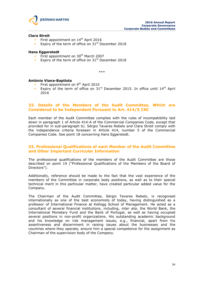

#### **Clara Streit**

- First appointment on 14<sup>th</sup> April 2016
- Expiry of the term of office on  $31<sup>st</sup>$  December 2018

#### **Hans Eggerstedt**

- First appointment on  $30<sup>th</sup>$  March 2007
- Expiry of the term of office on  $31<sup>st</sup>$  December 2018

\*\*\*

#### **António Viana-Baptista**

- First appointment on 9<sup>th</sup> April 2010
- Expiry of the term of office on  $31<sup>st</sup>$  December 2015. In office until  $14<sup>th</sup>$  April 2016

#### **32. Details of the Members of the Audit Committee, Which are Considered to be Independent Pursuant to Art. 414/5 CSC**

Each member of the Audit Committee complies with the rules of incompatibility laid down in paragraph 1 of Article 414-A of the Commercial Companies Code, except that provided for in sub-paragraph b). Sérgio Tavares Rebelo and Clara Streit comply with the independence criteria foreseen in Article 414, number 5 of the Commercial Companies Code. See point 18 concerning Hans Eggerstedt.

#### **33. Professional Qualifications of each Member of the Audit Committee and Other Important Curricular Information**

The professional qualifications of the members of the Audit Committee are those described on point 19 ("Professional Qualifications of the Members of the Board of Directors").

Additionally, reference should be made to the fact that the vast experience of the members of the Committee in corporate body positions, as well as to their special technical merit in this particular matter, have created particular added value for the Company.

The Chairman of the Audit Committee, Sérgio Tavares Rebelo, is recognised internationally as one of the best economists of today, having distinguished as a professor of International Finance at Kellogg School of Management. He acted as a consultant of several financial institutions, including, *inter alia*, the World Bank, the International Monetary Fund and the Bank of Portugal, as well as having occupied several positions in non-profit organizations. His outstanding academic background and his knowledge on risk management issues, e.g., financial, apart from his assertiveness and discernment in raising issues about the businesses and the countries where they operate, ensure him a special competence for the assignment as Chairman of the supervision body of the Company.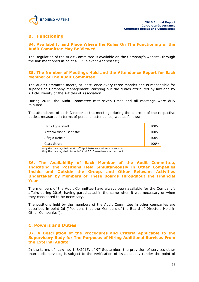# **B. Functioning**

# **34. Availability and Place Where the Rules On The Functioning of the Audit Committee May Be Viewed**

The Regulation of the Audit Committee is available on the Company's website, through the link mentioned in point 61 ("Relevant Addresses").

## **35. The Number of Meetings Held and the Attendance Report for Each Member of The Audit Committee**

The Audit Committee meets, at least, once every three months and is responsible for supervising Company management, carrying out the duties attributed by law and by Article Twenty of the Articles of Association.

During 2016, the Audit Committee met seven times and all meetings were duly minuted.

The attendance of each Director at the meetings during the exercise of the respective duties, measured in terms of personal attendance, was as follows:

| Hans Eggerstedt                     | 100% |
|-------------------------------------|------|
| António Viana-Baptista <sup>1</sup> | 100% |
| Sérgio Rebelo                       | 100% |
| Clara Streit <sup>2</sup>           | 100% |

 $1$  Only the meetings held until  $14<sup>th</sup>$  April 2016 were taken into account.

 $2$  Only the meetings held from  $14<sup>th</sup>$  April 2016 were taken into account.

# **36. The Availability of Each Member of the Audit Committee, Indicating the Positions Held Simultaneously in Other Companies Inside and Outside the Group, and Other Relevant Activities Undertaken by Members of These Boards Throughout the Financial Year**

The members of the Audit Committee have always been available for the Company's affairs during 2016, having participated in the same when it was necessary or when they considered to be necessary.

The positions held by the members of the Audit Committee in other companies are described in point 26 ("Positions that the Members of the Board of Directors Hold in Other Companies").

# **C. Powers and Duties**

## **37. A Description of the Procedures and Criteria Applicable to the Supervisory Body for The Purposes of Hiring Additional Services From the External Auditor**

In the terms of Law no. 148/2015, of  $9<sup>th</sup>$  September, the provision of services other than audit services, is subject to the verification of its adequacy (under the point of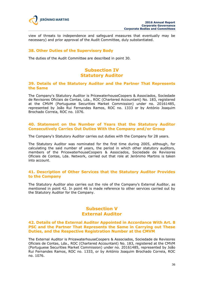

view of threats to independence and safeguard measures that eventually may be necessary) and prior approval of the Audit Committee, duly substantiated.

#### **38. Other Duties of the Supervisory Body**

The duties of the Audit Committee are described in point 30.

# **Subsection IV Statutory Auditor**

## **39. Details of the Statutory Auditor and the Partner That Represents the Same**

The Company's Statutory Auditor is PricewaterhouseCoopers & Associados, Sociedade de Revisores Oficiais de Contas, Lda., ROC (Chartered Accountant) No. 183, registered at the CMVM (Portuguese Securities Market Commission) under no. 20161485, represented by João Rui Fernandes Ramos, ROC no. 1333 or by António Joaquim Brochado Correia, ROC no. 1076.

## **40. Statement on the Number of Years that the Statutory Auditor Consecutively Carries Out Duties With the Company and/or Group**

The Company's Statutory Auditor carries out duties with the Company for 28 years.

The Statutory Auditor was nominated for the first time during 2005, although, for calculating the said number of years, the period in which other statutory auditors, members of the PricewaterhouseCoopers & Associados, Sociedade de Revisores Oficiais de Contas, Lda. Network, carried out that role at Jerónimo Martins is taken into account.

## **41. Description of Other Services that the Statutory Auditor Provides to the Company**

The Statutory Auditor also carries out the role of the Company's External Auditor, as mentioned in point 42. In point 46 is made reference to other services carried out by the Statutory Auditor for the Company.

# **Subsection V External Auditor**

## **42. Details of the External Auditor Appointed in Accordance With Art. 8 PSC and the Partner That Represents the Same in Carrying out These Duties, and the Respective Registration Number at the CMVM**

The External Auditor is PricewaterhouseCoopers & Associados, Sociedade de Revisores Oficiais de Contas, Lda., ROC (Chartered Accountant) No. 183, registered at the CMVM (Portuguese Securities Market Commission) under no. 20161485, represented by João Rui Fernandes Ramos, ROC no. 1333, or by António Joaquim Brochado Correia, ROC no. 1076.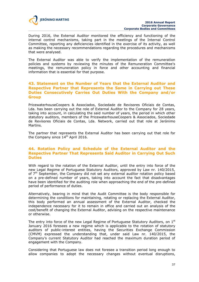

During 2016, the External Auditor monitored the efficiency and functioning of the internal control mechanisms, taking part in the meetings of the Internal Control Committee, reporting any deficiencies identified in the exercise of its activity, as well as making the necessary recommendations regarding the procedures and mechanisms that were analysed.

The External Auditor was able to verify the implementation of the remuneration policies and systems by reviewing the minutes of the Remuneration Committee's meetings, the remuneration policy in force and other accounting and financial information that is essential for that purpose.

## **43. Statement on the Number of Years that the External Auditor and Respective Partner that Represents the Same in Carrying out These Duties Consecutively Carries Out Duties With the Company and/or Group**

PricewaterhouseCoopers & Associados, Sociedade de Revisores Oficiais de Contas, Lda. has been carrying out the role of External Auditor to the Company for 28 years, taking into account, in calculating the said number of years, the period in which other statutory auditors, members of the PricewaterhouseCoopers & Associados, Sociedade de Revisores Oficiais de Contas, Lda. Network, carried out that role at Jerónimo Martins.

The partner that represents the External Auditor has been carrying out that role for the Company since 14<sup>th</sup> April 2016.

## **44. Rotation Policy and Schedule of the External Auditor and the Respective Partner That Represents Said Auditor in Carrying Out Such Duties**

With regard to the rotation of the External Auditor, until the entry into force of the new Legal Regime of Portuguese Statutory Auditors, approved by Law nr. 140/2015, of 7<sup>th</sup> September, the Company did not set any external auditor rotation policy based on a pre-defined number of years, taking into account the fact that disadvantages have been identified for the auditing role when approaching the end of the pre-defined period of performance of duties.

Alternatively, bearing in mind that the Audit Committee is the body responsible for determining the conditions for maintaining, rotating or replacing the External Auditor, this body performed an annual assessment of the External Auditor, checked the independence necessary for it to remain in office and carried out an analysis of the cost/benefit of changing the External Auditor, advising on the respective maintenance or otherwise.

The entry into force of the new Legal Regime of Portuguese Statutory Auditors, on  $1<sup>st</sup>$ January 2016 foresees a new regime which is applicable to the rotation of statutory auditors of public-interest entities, having the Securities Exchange Commission (CMVM) expressed the understanding that, under said Law nr. 140/2015, the Company's current Statutory Auditor had reached the maximum duration period of engagement with the Company.

Considering that Portuguese law does not foresee a transition period long enough to allow companies to adopt the necessary changes without eventual disruptions,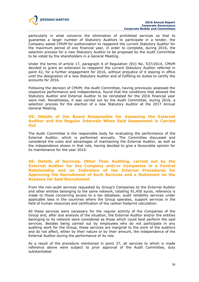

particularly in what concerns the elimination of prohibited services so that to guarantee a larger number of Statutory Auditors to participate in a tender, the Company asked CMVM for authorization to reappoint the current Statutory Auditor for the maximum period of one financial year, in order to complete, during 2016, the selection process for a new Statutory Auditor to be proposed by the Audit Committee to be voted by the shareholders in a General Meeting.

Under the terms of article 17, paragraph 6 of Regulation (EU) No. 537/2014, CMVM decided to grant an extension to reappoint the current Statutory Auditor referred in point 42, for a further engagement for 2016, without prejudice of it staying in office until the designation of a new Statutory Auditor and of fulfilling its duties to certify the accounts for 2016.

Following the decision of CMVM, the Audit Committee, having previously assessed the respective performance and independence, found that the conditions that allowed the Statutory Auditor and External Auditor to be reinstated for the 2016 financial year were met. Nonetheless, it was carried out by the Audit Committee, during 2016, a selection process for the election of a new Statutory Auditor at the 2017 Annual General Meeting.

#### **45. Details of the Board Responsible for Assessing the External Auditor and the Regular Intervals When Said Assessment is Carried Out**

The Audit Committee is the responsible body for evaluating the performance of the External Auditor, which is performed annually. The Committee discussed and considered the costs and advantages of maintaining the External Auditor, as well as the independence shown in that role, having decided to give a favourable opinion for its maintenance for the year 2016.

## **46. Details of Services, Other Than Auditing, carried out by the External Auditor for the Company and/or Companies in a Control Relationship and an Indication of the Internal Procedures for Approving the Recruitment of Such Services and a Statement on the Reasons for Said Recruitment**

From the non-audit services requested by Group's Companies to the External Auditor and other entities belonging to the same network, totalling 91,450 euros, reference is made to those concerning access to a tax database, audit reliability services under applicable laws in the countries where the Group operates, support services in the field of human resources and certification of the carbon footprint calculation.

All these services were necessary for the regular activity of the Companies of the Group and, after due analysis of the situation, the External Auditor and/or the entities belonging to its network were considered as those which could best perform the said services. Besides being carried out by employees who do not participate in any auditing work for the Group, these services are marginal to the work of the auditors and do not affect, either by their nature or by their amount, the independence of the External Auditor during the performance of its role.

As a result of the procedure mentioned in point 37, all services to which is made reference above were subject to prior approval of the Audit Committee, duly substantiated.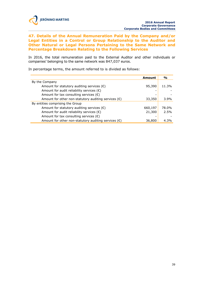

**47. Details of the Annual Remuneration Paid by the Company and/or Legal Entities in a Control or Group Relationship to the Auditor and Other Natural or Legal Persons Pertaining to the Same Network and Percentage Breakdown Relating to the Following Services**

In 2016, the total remuneration paid to the External Auditor and other individuals or companies' belonging to the same network was 847,037 euros.

In percentage terms, the amount referred to is divided as follows:

|                                                               | Amount  | $\frac{0}{0}$ |
|---------------------------------------------------------------|---------|---------------|
| By the Company                                                |         |               |
| Amount for statutory auditing services $(\epsilon)$           | 95,390  | 11.3%         |
| Amount for audit reliability services $(\epsilon)$            |         |               |
| Amount for tax consulting services $(\epsilon)$               |         |               |
| Amount for other non-statutory auditing services $(\epsilon)$ | 33,350  | $3.9\%$       |
| By entities comprising the Group                              |         |               |
| Amount for statutory auditing services $(\epsilon)$           | 660,197 | 78.0%         |
| Amount for audit reliability services $(\epsilon)$            | 21,300  | 2.5%          |
| Amount for tax consulting services $(\epsilon)$               |         |               |
| Amount for other non-statutory auditing services $(\epsilon)$ | 36,800  | 4.3%          |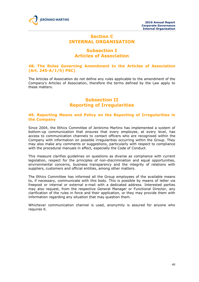

# **Section C INTERNAL ORGANISATION**

# **Subsection I Articles of Association**

# **48. The Rules Governing Amendment to the Articles of Association (Art. 245-A/1/h) PSC)**

The Articles of Association do not define any rules applicable to the amendment of the Company's Articles of Association, therefore the terms defined by the Law apply to these matters.

# **Subsection II Reporting of Irregularities**

## **49. Reporting Means and Policy on the Reporting of Irregularities in the Company**

Since 2004, the Ethics Committee of Jerónimo Martins has implemented a system of bottom-up communication that ensures that every employee, at every level, has access to communication channels to contact officers who are recognised within the Company with information on possible irregularities occurring within the Group. They may also make any comments or suggestions, particularly with respect to compliance with the procedural manuals in effect, especially the Code of Conduct.

This measure clarifies guidelines on questions as diverse as compliance with current legislation, respect for the principles of non-discrimination and equal opportunities, environmental concerns, business transparency and the integrity of relations with suppliers, customers and official entities, among other matters.

The Ethics Committee has informed all the Group employees of the available means to, if necessary, communicate with this body. This is possible by means of letter via freepost or internal or external e-mail with a dedicated address. Interested parties may also request, from the respective General Manager or Functional Director, any clarification of the rules in force and their application, or they may provide them with information regarding any situation that may question them.

Whichever communication channel is used, anonymity is assured for anyone who requires it.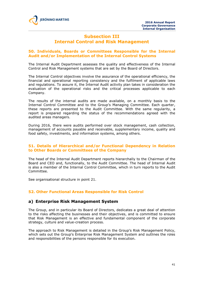

# **Subsection III Internal Control and Risk Management**

# **50. Individuals, Boards or Committees Responsible for the Internal Audit and/or Implementation of the Internal Control Systems**

The Internal Audit Department assesses the quality and effectiveness of the Internal Control and Risk Management systems that are set by the Board of Directors.

The Internal Control objectives involve the assurance of the operational efficiency, the financial and operational reporting consistency and the fulfilment of applicable laws and regulations. To assure it, the Internal Audit activity plan takes in consideration the evaluation of the operational risks and the critical processes applicable to each Company.

The results of the internal audits are made available, on a monthly basis to the Internal Control Committee and to the Group's Managing Committee. Each quarter, these reports are presented to the Audit Committee. With the same regularity, a report is prepared regarding the status of the recommendations agreed with the audited areas managers.

During 2016, there were audits performed over stock management, cash collection, management of accounts payable and receivable, supplementary income, quality and food safety, investments, and information systems, among others.

## **51. Details of Hierarchical and/or Functional Dependency in Relation to Other Boards or Committees of the Company**

The head of the Internal Audit Department reports hierarchally to the Chairman of the Board and CEO and, functionally, to the Audit Committee. The head of Internal Audit is also a member of the Internal Control Committee, which in turn reports to the Audit Committee.

See organisational structure in point 21.

# **52. Other Functional Areas Responsible for Risk Control**

# **a) Enterprise Risk Management System**

The Group, and in particular its Board of Directors, dedicates a great deal of attention to the risks affecting the businesses and their objectives, and is committed to ensure that Risk Management is an effective and fundamental component of the corporate strategy, culture and value-creation process.

The approach to Risk Management is detailed in the Group's Risk Management Policy, which sets out the Group's Enterprise Risk Management System and outlines the roles and responsibilities of the persons responsible for its execution.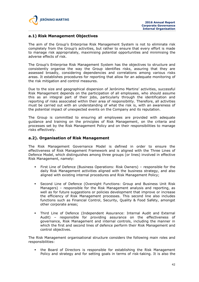

# **a.1) Risk Management Objectives**

The aim of the Group's Enterprise Risk Management System is not to eliminate risk completely from the Group's activities, but rather to ensure that every effort is made to manage risk appropriately, maximising potential opportunities and minimising the adverse effects of risk.

The Group's Enterprise Risk Management System has the objectives to structure and consistently organise the way the Group identifies risks, assuring that they are assessed broadly, considering dependencies and correlations among various risks areas. It establishes procedures for reporting that allow for an adequate monitoring of the risk mitigation and control measures.

Due to the size and geographical dispersion of Jerónimo Martins' activities, successful Risk Management depends on the participation of all employees, who should assume this as an integral part of their jobs, particularly through the identification and reporting of risks associated within their area of responsibility. Therefore, all activities must be carried out with an understanding of what the risk is, with an awareness of the potential impact of unexpected events on the Company and its reputation.

The Group is committed to ensuring all employees are provided with adequate guidance and training on the principles of Risk Management, on the criteria and processes set by the Risk Management Policy and on their responsibilities to manage risks effectively.

## **a.2). Organisation of Risk Management**

The Risk Management Governance Model is defined in order to ensure the effectiveness of Risk Management Framework and is aligned with the Three Lines of Defence Model, which distinguishes among three groups (or lines) involved in effective Risk Management, namely:

- First Line of Defence (Business Operations: Risk Owners) responsible for the daily Risk Management activities aligned with the business strategy, and also aligned with existing internal procedures and Risk Management Policy;
- Second Line of Defence (Oversight Functions: Group and Business Unit Risk Managers) – responsible for the Risk Management analysis and reporting, as well as for future suggestions or policies development that improve or increase the efficiency of Risk Management processes. This second line also includes functions such as Financial Control, Security, Quality & Food Safety, amongst other corporate areas;
- Third Line of Defence (Independent Assurance: Internal Audit and External Audit) – responsible for providing assurance on the effectiveness of governance, Risk Management and internal controls, including the manner in which the first and second lines of defence perform their Risk Management and control objectives.

The Risk Management organisational structure considers the following main roles and responsibilities:

 the Board of Directors is responsible for establishing the Risk Management Policy and strategy and for setting goals in terms of risk-taking. It is also the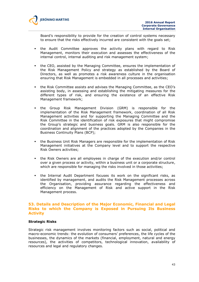

Board's responsibility to provide for the creation of control systems necessary to ensure that the risks effectively incurred are consistent with the goals set;

- the Audit Committee approves the activity plans with regard to Risk Management, monitors their execution and assesses the effectiveness of the internal control, internal auditing and risk management system;
- the CEO, assisted by the Managing Committee, ensures the implementation of the Risk Management Policy and strategy as established by the Board of Directors, as well as promotes a risk awareness culture in the organisation ensuring that Risk Management is embedded in all processes and activities;
- the Risk Committee assists and advises the Managing Committee, as the CEO's assisting body, in assessing and establishing the mitigating measures for the different types of risk, and ensuring the existence of an effective Risk Management framework;
- the Group Risk Management Division (GRM) is responsible for the implementation of the Risk Management framework, coordination of all Risk Management activities and for supporting the Managing Committee and the Risk Committee in the identification of risk exposures that might compromise the Group's strategic and business goals. GRM is also responsible for the coordination and alignment of the practices adopted by the Companies in the Business Continuity Plans (BCP);
- the Business Unit Risk Managers are responsible for the implementation of Risk Management initiatives at the Company level and to support the respective Risk Owners activities;
- the Risk Owners are all employees in charge of the execution and/or control over a given process or activity, within a business unit or a corporate structure, which are responsible for managing the risks involved in those activities;
- the Internal Audit Department focuses its work on the significant risks, as identified by management, and audits the Risk Management processes across the Organisation, providing assurance regarding the effectiveness and efficiency on the Management of Risk and active support in the Risk Management process.

## **53. Details and Description of the Major Economic, Financial and Legal Risks to which the Company is Exposed in Pursuing Its Business Activity**

#### **Strategic Risks**

Strategic risk management involves monitoring factors such as social, political and macro-economic trends: the evolution of consumers' preferences, the life cycles of the businesses, the dynamics of the markets (financial, employment, natural and energy resources), the activities of competitors, technological innovation, availability of resources and legal and regulatory changes.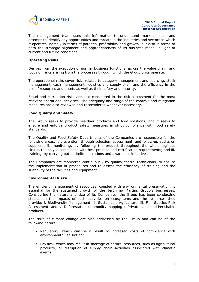

The management team uses this information to understand market needs and attemps to identify any opportunities and threats in the industries and sectors in which it operates, namely in terms of potential profitability and growth, but also in terms of both the strategic alignment and appropriateness of its business model in light of current and future conditions.

#### **Operating Risks**

Derives from the execution of normal business functions, across the value chain, and focus on risks arising from the processes through which the Group units operate.

The operational risks cover risks related to category management and sourcing, stock management, cash management, logistics and supply chain and the efficiency in the use of resources and assets as well as their safety and security.

Fraud and corruption risks are also considered in the risk assessment for the most relevant operational activities. The adequacy and range of the controls and mitigation measures are also reviewed and reconsidered whenever necessary.

#### **Food Quality and Safety**

The Group seeks to provide healthier products and food solutions, and it seeks to ensure and enforce product safety measures in strict compliance with food safety standards.

The Quality and Food Safety Departments of the Companies are responsible for the following areas: i. prevention, through selection, assessment, and follow-up audits on suppliers; ii. monitoring, by following the product throughout the whole logistics circuit, to analyse compliance with best practice and certification requirements; and iii. training, by carrying out periodic simulations and awareness initiatives.

The Companies are monitored continuously by quality control technicians, to ensure the implementation of procedures and to assess the efficiency of training and the suitability of the facilities and equipment.

#### **Environmental Risks**

The efficient management of resources, coupled with environmental preservation, is essential for the sustained growth of the Jerónimo Martins Group's businesses. Considering the nature and size of its Companies, the Group has been conducting studies on the impacts of such activities on ecosystems and the resources they provide: i. Biodiversity Management; ii. Sustainable Agriculture; iii. Fish Species Risk Assessment; and iv. Deforestation commodity mapping in Private Label and Perishable products.

The risks of climate change are also addressed by the Group and can be of the following nature:

- **•** Regulatory, which can be a result of increased costs of compliance with environmental legislation;
- Physical, which may result in shortage of natural resources, such as agricultural products, or disruption of supply chain activities associated with climatic events;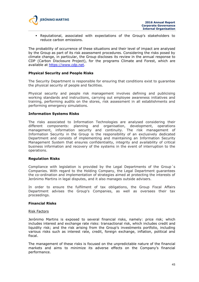

 Reputational, associated with expectations of the Group's stakeholders to reduce carbon emissions.

The probability of occurrence of these situations and their level of impact are analysed by the Group as part of its risk assessment procedures. Considering the risks posed by climate change, in particular, the Group discloses its review in the annual response to CDP (Carbon Disclosure Project), for the programs Climate and Forest, which are available at https://www.cdp.net.

#### **Physical Security and People Risks**

The Security Department is responsible for ensuring that conditions exist to guarantee the physical security of people and facilities.

Physical security and people risk management involves defining and publicising working standards and instructions, carrying out employee awareness initiatives and training, performing audits on the stores, risk assessment in all establishments and performing emergency simulations.

#### **Information Systems Risks**

The risks associated to Information Technologies are analysed considering their different components: planning and organisation, development, operations management, information security and continuity. The risk management of Information Security in the Group is the responsibility of an exclusively dedicated Department and consists of implementing and maintaining an Information Security Management System that ensures confidentiality, integrity and availability of critical business information and recovery of the systems in the event of interruption to the operations.

#### **Regulation Risks**

Compliance with legislation is provided by the Legal Departments of the Group´s Companies. With regard to the Holding Company, the Legal Department guarantees the co-ordination and implementation of strategies aimed at protecting the interests of Jerónimo Martins in legal disputes, and it also manages outside advisers.

In order to ensure the fulfilment of tax obligations, the Group Fiscal Affairs Department advises the Group's Companies, as well as oversees their tax proceedings.

#### **Financial Risks**

#### Risk Factors

Jerónimo Martins is exposed to several financial risks, namely: price risk; which includes interest and exchange rate risks: transactional risk, which includes credit and liquidity risk; and the risk arising from the Group's investments portfolio, including various risks such as interest rate, credit, foreign exchange, inflation, political and fiscal.

The management of these risks is focused on the unpredictable nature of the financial markets and aims to minimize its adverse effects on the Company's financial performance.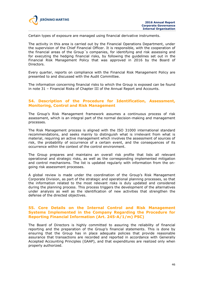

Certain types of exposure are managed using financial derivative instruments.

The activity in this area is carried out by the Financial Operations Department, under the supervision of the Chief Financial Officer. It is responsible, with the cooperation of the financial areas of the Group´s companies, for identifying and risk assessing and for executing the hedging financial risks, by following the guidelines set out in the Financial Risk Management Policy that was approved in 2016 by the Board of Directors.

Every quarter, reports on compliance with the Financial Risk Management Policy are presented to and discussed with the Audit Committee.

The information concerning financial risks to which the Group is exposed can be found in note 31 – Financial Risks of Chapter III of the Annual Report and Accounts.

## **54. Description of the Procedure for Identification, Assessment, Monitoring, Control and Risk Management**

The Group's Risk Management framework assumes a continuous process of risk assessment, which is an integral part of the normal decision-making and management processes.

The Risk Management process is aligned with the ISO 31000 international standard recommendations, and seeks mainly to distinguish what is irrelevant from what is material, requiring an active management which involves the assessment of sources of risk, the probability of occurrence of a certain event, and the consequences of its occurrence within the context of the control environment.

The Group prepares and maintains an overall risk profile that lists all relevant operational and strategic risks, as well as the corresponding implemented mitigation and control mechanisms. The list is updated regularly with information from the ongoing risk assessment processes.

A global review is made under the coordination of the Group's Risk Management Corporate Division, as part of the strategic and operational planning processes, so that the information related to the most relevant risks is duly updated and considered during the planning process. This process triggers the development of the alternatives under analysis as well as the identification of new activities that strengthen the defense of the directed objectives.

#### **55. Core Details on the Internal Control and Risk Management Systems Implemented in the Company Regarding the Procedure for Reporting Financial Information (Art. 245-A/1/m) PSC)**

The Board of Directors is highly committed to assuring the reliability of financial reporting and the preparation of the Group's financial statements. This is done by ensuring that the Group has in place adequate policies that provide reasonable assurance that transactions are recorded and reported in accordance with Generally Accepted Accounting Principles (GAAP), and that expenditures are realized only when properly authorized.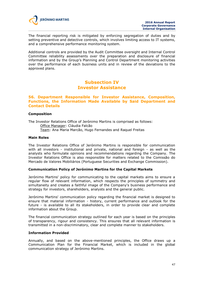

The financial reporting risk is mitigated by enforcing segregation of duties and by setting preventive and detective controls, which involves limiting access to IT systems, and a comprehensive performance monitoring system.

Additional controls are provided by the Audit Committee oversight and Internal Control Committee reliability assessments over the preparation and disclosure of financial information and by the Group's Planning and Control Department monitoring activities over the performance of each business units and in review of the deviations to the approved plans.

# **Subsection IV Investor Assistance**

#### **56. Department Responsible for Investor Assistance, Composition, Functions, the Information Made Available by Said Department and Contact Details**

#### **Composition**

The Investor Relations Office of Jerónimo Martins is comprised as follows: Office Manager: Cláudia Falcão Team: Ana Maria Marcão, Hugo Fernandes and Raquel Freitas

#### **Main Roles**

The Investor Relations Office of Jerónimo Martins is responsible for communication with all investors - institutional and private, national and foreign - as well as the analysts who formulate opinions and recommendations regarding the Company. The Investor Relations Office is also responsible for matters related to the Comissão do Mercado de Valores Mobiliários (Portuguese Securities and Exchange Commission).

#### **Communication Policy of Jerónimo Martins for the Capital Markets**

Jerónimo Martins' policy for communicating to the capital markets aims to ensure a regular flow of relevant information, which respects the principles of symmetry and simultaneity and creates a faithful image of the Company's business performance and strategy for investors, shareholders, analysts and the general public.

Jerónimo Martins' communication policy regarding the financial market is designed to ensure that material information - history, current performance and outlook for the future - is available to all its stakeholders, in order to provide clear and complete information about the Group.

The financial communication strategy outlined for each year is based on the principles of transparency, rigour and consistency. This ensures that all relevant information is transmitted in a non-discriminatory, clear and complete manner to stakeholders.

#### **Information Provided**

Annually, and based on the above-mentioned principles, the Office draws up a Communication Plan for the Financial Market, which is included in the global communication strategy of Jerónimo Martins.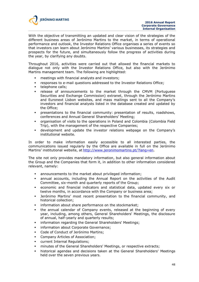

With the objective of transmitting an updated and clear vision of the strategies of the different business areas of Jerónimo Martins to the market, in terms of operational performance and outlook, the Investor Relations Office organises a series of events so that investors can learn about Jerónimo Martins' various businesses, its strategies and prospects for the future, and simultaneously follow the progress of activities during the year, by clarifying any doubts.

Throughout 2016, activities were carried out that allowed the financial markets to dialogue not only with the Investor Relations Office, but also with the Jerónimo Martins management team. The following are highlighted:

- meetings with financial analysts and investors;
- responses to e-mail questions addressed to the Investor Relations Office;
- **telephone calls:**
- release of announcements to the market through the CMVM (Portuguese Securities and Exchange Commission) extranet, through the Jerónimo Martins and Euronext Lisbon websites, and mass mailings sent to all the Company's investors and financial analysts listed in the database created and updated by the Office;
- presentations to the financial community: presentation of results, roadshows, conferences and Annual General Shareholders' Meeting;
- organisation of visits to the operations in Poland and Colombia (Colombia Field Trip), with the management of the respective Companies;
- development and update the investor relations webpage on the Company's institutional website.

In order to make information easily accessible to all interested parties, the communications issued regularly by the Office are available in full on the Jerónimo Martins' institutional website, at http://www.jeronimomartins.pt/?lang=en.

The site not only provides mandatory information, but also general information about the Group and the Companies that form it, in addition to other information considered relevant, namely:

- announcements to the market about privileged information;
- annual accounts, including the Annual Report on the activities of the Audit Committee, six-month and quarterly reports of the Group;
- economic and financial indicators and statistical data, updated every six or twelve months, in accordance with the Company or business area;
- Jerónimo Martins' most recent presentation to the financial community, and historical collection;
- information about share performance on the stockmarket;
- the annual calendar of Company events, released at the beginning of every year, including, among others, General Shareholders' Meetings, the disclosure of annual, half-yearly and quarterly results;
- **·** information regarding the General Shareholders' Meetings;
- **·** information about Corporate Governance:
- Code of Conduct of Jerónimo Martins;
- Company Articles of Association;
- current Internal Regulations;
- minutes of the General Shareholders' Meetings, or respective extracts;
- historical agendas and decisions taken at the General Shareholders' Meetings held over the seven previous years.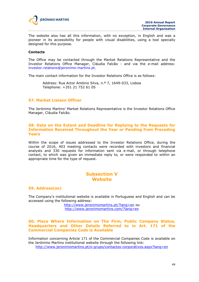

The website also has all this information, with no exception, in English and was a pioneer in its accessibility for people with visual disabilities, using a tool specially designed for this purpose.

#### **Contacts**

The Office may be contacted through the Market Relations Representative and the Investor Relations Office Manager, Cláudia Falcão - and via the e-mail address: investor.relations@jeronimo-martins.pt.

The main contact information for the Investor Relations Office is as follows:

Address: Rua Actor António Silva, n.º 7, 1649-033, Lisboa Telephone: +351 21 752 61 05

#### **57. Market Liaison Officer**

The Jerónimo Martins' Market Relations Representative is the Investor Relations Office Manager, Cláudia Falcão.

## **58. Data on the Extent and Deadline for Replying to the Requests for Information Received Throughout the Year or Pending from Preceding Years**

Within the scope of issues addressed to the Investor Relations Office, during the course of 2016, 403 meeting contacts were recorded with investors and financial analysts and 330 requests for information sent via e-mail, or through telephone contact, to which was given an immediate reply to, or were responded to within an appropriate time for the type of request.

# **Subsection V Website**

#### **59. Address(es)**

The Company's institutional website is available in Portuguese and English and can be accessed using the following address:

> http://www.jeronimomartins.pt/?lang=en ou http://www.jeronimomartins.com/?lang=en

#### **60. Place Where Information on The Firm, Public Company Status, Headquarters and Other Details Referred to in Art. 171 of the Commercial Companies Code is Available**

Information concerning Article 171 of the Commercial Companies Code is available on the Jerónimo Martins institutional website through the following link: http://www.jeronimomartins.pt/o-grupo/contactos-corporativos.aspx?lang=en

49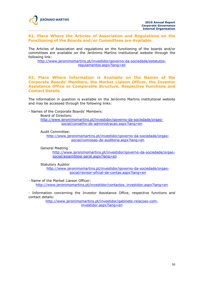## **61. Place Where the Articles of Association and Regulations on the Functioning of the Boards and/or Committees are Available**

The Articles of Association and regulations on the functioning of the boards and/or committees are available on the Jerónimo Martins institutional website through the following link:

http://www.jeronimomartins.pt/investidor/governo-da-sociedade/estatutosregulamentos.aspx?lang=en

## **62. Place Where Information is Available on the Names of the Corporate Boards' Members, the Market Liaison Officer, the Investor Assistance Office or Comparable Structure, Respective Functions and Contact Details**

The information in question is available on the Jerónimo Martins institutional website and may be accessed through the following links:

- Names of the Corporate Boards' Members:

Board of Directors:

http://www.jeronimomartins.pt/investidor/governo-da-sociedade/orgaosocial/conselho-de-administracao.aspx?lang=en

Audit Committee:

http://www.jeronimomartins.pt/investidor/governo-da-sociedade/orgaosocial/comissao-de-auditoria.aspx?lang=en

General Meeting

http://www.jeronimomartins.pt/investidor/governo-da-sociedade/orgaosocial/assembleia-geral.aspx?lang=en

Statutory Auditor

http://www.jeronimomartins.pt/investidor/governo-da-sociedade/orgaosocial/revisor-oficial-de-contas.aspx?lang=en

- Name of the Market Liaison Officer:

http://www.jeronimomartins.pt/investidor/contactos\_investidor.aspx?lang=en

- Information concerning the Investor Assistance Office, respective functions and contact details:

> http://www.jeronimomartins.pt/investidor/gabinete-relacoes-cominvestidor.aspx?lang=en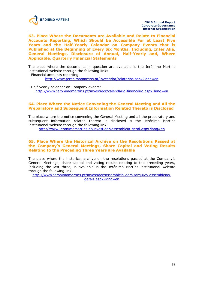

**63. Place Where the Documents are Available and Relate to Financial Accounts Reporting, Which Should be Accessible For at Least Five Years and the Half-Yearly Calendar on Company Events that is Published at the Beginning of Every Six Months, Including, Inter Alia, General Meetings, Disclosure of Annual, Half-Yearly and, Where Applicable, Quarterly Financial Statements**

The place where the documents in question are available is the Jerónimo Martins institutional website through the following links:

- Financial accounts reporting:

http://www.jeronimomartins.pt/investidor/relatorios.aspx?lang=en

- Half-yearly calendar on Company events: http://www.jeronimomartins.pt/investidor/calendario-financeiro.aspx?lang=en

# **64. Place Where the Notice Convening the General Meeting and All the Preparatory and Subsequent Information Related Thereto is Disclosed**

The place where the notice convening the General Meeting and all the preparatory and subsequent information related thereto is disclosed is the Jerónimo Martins institutional website through the following link:

http://www.jeronimomartins.pt/investidor/assembleia-geral.aspx?lang=en

## **65. Place Where the Historical Archive on the Resolutions Passed at the Company's General Meetings, Share Capital and Voting Results Relating to the Preceding Three Years are Available**

The place where the historical archive on the resolutions passed at the Company's General Meetings, share capital and voting results relating to the preceding years, including the last three, is available is the Jerónimo Martins institutional website through the following link:

http://www.jeronimomartins.pt/investidor/assembleia-geral/arquivo-assembleiasgerais.aspx?lang=en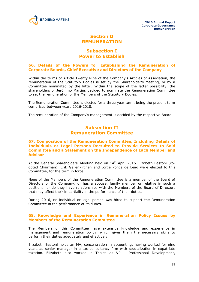

# **Section D REMUNERATION**

# **Subsection I Power to Establish**

## **66. Details of the Powers for Establishing the Remuneration of Corporate Boards, Chief Executive and Directors of the Company**

Within the terms of Article Twenty Nine of the Company's Articles of Association, the remuneration of the Statutory Bodies is set by the Shareholder's Meeting, or by a Committee nominated by the latter. Within the scope of the latter possibility, the shareholders of Jerónimo Martins decided to nominate the Remuneration Committee to set the remuneration of the Members of the Statutory Bodies.

The Remuneration Committee is elected for a three year term, being the present term comprised between years 2016-2018.

The remuneration of the Company's management is decided by the respective Board.

# **Subsection II Remuneration Committee**

## **67. Composition of the Remuneration Committee, Including Details of Individuals or Legal Persons Recruited to Provide Services to Said Committee and a Statement on the Independence of Each Member and Advisor**

At the General Shareholders' Meeting held on 14<sup>th</sup> April 2016 Elizabeth Bastoni (coopted Chairman), Erik Geilenkirchen and Jorge Ponce de Leão were elected to this Committee, for the term in force.

None of the Members of the Remuneration Committee is a member of the Board of Directors of the Company, or has a spouse, family member or relative in such a position, nor do they have relationships with the Members of the Board of Directors that may affect their impartiality in the performance of their duties.

During 2016, no individual or legal person was hired to support the Remuneration Committee in the performance of its duties.

## **68. Knowledge and Experience in Remuneration Policy Issues by Members of the Remuneration Committee**

The Members of this Committee have extensive knowledge and experience in management and remuneration policy, which gives them the necessary skills to perform their duties adequately and effectively.

Elizabeth Bastoni holds an MA, concentration in accounting, having worked for nine years as senior manager in a tax consultancy firm with specialization in expatriate taxation. Elizabeth also worked in Thales as VP – Professional Development,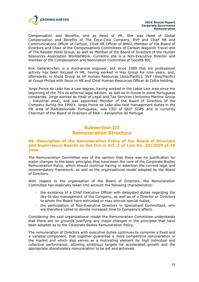

Compensation and Benefits, and as Head of HR. She was Head of Global Compensation and Benefits of The Coca-Cola Company, EVP and Chief HR and Communications Officer of Carlson, Chief HR Officer of BMGI, Member of the Board of Directors and Chair of the Compensations Committees of Carlson Wagonlit Travel and of The Rezidor Hotel Group, as well as Member of the Board of Directors of the Human Resources Association WorldatWork. Currently she is a Non-Executive Director and member of the Compensation and Nomination Committee of Société BIC.

Erik Geilenkirchen is a mechanical engineer, but since 1989 that his professional activity has been focused in HR, having worked in Hay Group for nine years, and, afterwards, in Ahold Group as VP Human Resources (Asia/Pacific), SVP (Asia/Pacific) at Group Philips with focus in HR and Chief Human Resources Officer at Cofra Holding.

Jorge Ponce de Leão has a Law degree, having worked in the Labor Law area since the beginning of the 70's as external legal advisor, as well as in-house in some Portuguese companies. Jorge worked as Head of Legal and Tax Services (Jerónimo Martins Group – industrial area), and was appointed Member of the Board of Directors of the Company during the 1990's. Jorge Ponce de Leão also held management duties in the HR area of Radiotelevisão Portuguesa, was CEO of SAIP SGPS and is currently Chairman of the Board of Directors of ANA – Aeroportos de Portugal.

# **Subsection III Remuneration Structure**

# **69. Description of the Remuneration Policy of the Board of Directors and Supervisory Boards as Set Out in Art. 2 of Law No. 28/2009 of 19 June**

The Remuneration Committee was of the opinion that there was no justification for major changes to the basic principles that have been the core of the Corporate Bodies Remuneration Policy, which should continue having in attention the current legal and recomendatory framework, as well as the organisational model adopted by the Board of Directors.

With respect to the organisation of the Board of Directors, the Remuneration Committee has especially taken into account the following characteristics:

- the existence of a Chief Executive Officer with delegated duties regarding the day-to-day management of the Company, as well as of a Director or Directors to whom the Board have entrusted or may entrust special duties;
- the participation of Non-Executive Directors in Specialised Committees, who are therefore called to devote increased time to Company's affairs.

Considering the said organisational model the Remuneration Committee understands that there are no grounds justifying any major changes in the principles that have been adopted as to the Corporate Bodies Remuneration Policy.

The remuneration of Directors with executive duties continues to comprise a fixed and a variable component, that together guarantee a more competitive remuneration in the market and which also serves as a motivating element for high individual and collective performance, allowing ambitious targets for accelerated growth and the appropriate shareholders remuneration to be set and achieved.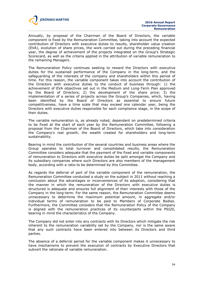

Annually, by proposal of the Chairman of the Board of Directors, the variable component is fixed by the Remuneration Committee, taking into account the expected contribution of Directors with executive duties to results, shareholder value creation (EVA), evolution of share prices, the work carried out during the preceding financial year, the degree of achievement of the projects integrated on the Group's Strategic Scorecard, as well as the criteria applied in the attribution of variable remuneration to the remaining Managers.

The Remuneration Policy continues seeking to reward the Directors with executive duties for the sustained performance of the Company in the long-term, and the safeguarding of the interests of the company and shareholders within this period of time. For this reason, the variable component takes into account the contribution of the Directors with executive duties to the conduct of business through: 1) the achievement of EVA objectives set out in the Medium and Long-Term Plan approved by the Board of Directors; 2) the development of the share price; 3) the implementation of a series of projects across the Group's Companies, which, having been identified by the Board of Directors as essential to ensure future competitiveness, have a time scale that may exceed one calendar year, being the Directors with executive duties responsible for each compliance stage, in the scope of their duties.

The variable remuneration is, as already noted, dependent on predetermined criteria to be fixed at the start of each year by the Remuneration Committee, following a proposal from the Chairman of the Board of Directors, which take into consideration the Company's real growth, the wealth created for shareholders and long-term sustainability.

Bearing in mind the contribution of the several countries and business areas where the Group operates to total turnover and consolidated results, the Remuneration Committee considers adequate that the payment of the fixed and variable components of remuneration to Directors with executive duties be split amongst the Company and its subsidiary companies where such Directors are also members of the management body, according with a ratio to be determined by this Committee.

As regards the deferral of part of the variable component of the remuneration, the Remuneration Committee conducted a study on the subject in 2011 without reaching a conclusion about the advantages or inconveniences of its adoption, considering that the manner in which the remuneration of the Directors with executive duties is structured is adequate and ensures full alignment of their interests with those of the Company in the long-term. For the same reason, the Remuneration Committee deems unnecessary to determine the maximum potential amount, in aggregate and/or individual terms of remuneration to be paid to Members of Corporate Bodies. Furthermore, the Committee considers that the Remuneration Policy of the Company is aligned with the remuneration practices of its counterparts within the PSI20, bearing in mind the characteristics of the Company.

The Company did not enter into any contracts with its Directors which mitigate the risk inherent to the remuneration variability set by the Company, nor is the same aware that any such contracts have been entered into between its Directors and third parties.

The absence of a deferral period for the variable component makes it unnecessary to have mechanisms to prevent the execution of contracts by Executive Directors that subvert the rationale of variable remuneration.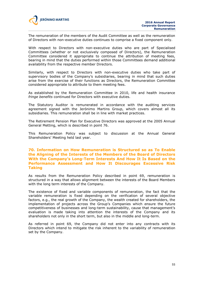

The remuneration of the members of the Audit Committee as well as the remuneration of Directors with non-executive duties continues to comprise a fixed component only.

With respect to Directors with non-executive duties who are part of Specialised Committees (whether or not exclusively composed of Directors), the Remuneration Committee considered it appropriate to continue the attribution of meeting fees, bearing in mind that the duties performed within those Committees demand additional availability from the respective member Directors.

Similarly, with respect to Directors with non-executive duties who take part of supervisory bodies of the Company's subsidiaries, bearing in mind that such duties arise from the exercise of their functions as Directors, the Remuneration Committee considered appropriate to attribute to them meeting fees.

As established by the Remuneration Committee in 2010, life and health insurance *fringe benefits* continued for Directors with executive duties.

The Statutory Auditor is remunerated in accordance with the auditing services agreement signed with the Jerónimo Martins Group, which covers almost all its subsidiaries. This remuneration shall be in line with market practices.

The Retirement Pension Plan for Executive Directors was approved at the 2005 Annual General Metting, which is described in point 76.

This Remuneration Policy was subject to discussion at the Annual General Shareholders' Meeting held last year.

#### **70. Information on How Remuneration is Structured so as To Enable the Aligning of the Interests of the Members of the Board of Directors With the Company's Long-Term Interests And How It Is Based on the Performance Assessment and How It Discourages Excessive Risk Taking**

As results from the Remuneration Policy described in point 69, remuneration is structured in a way that allows alignment between the interests of the Board Members with the long term interests of the Company.

The existence of fixed and variable components of remuneration, the fact that the variable remuneration is fixed depending on the verification of several objective factors, e.g., the real growth of the Company, the wealth created for shareholders, the implementation of projects across the Group's Companies which ensure the future competitiveness of businesses and long-term sustainability, cause that management's evaluation is made taking into attention the interests of the Company and its shareholders not only in the short term, but also in the middle and long-term.

As referred in point 69, the Company did not enter into any contracts with its Directors which intend to mitigate the risk inherent to the variability of remuneration set by the Company.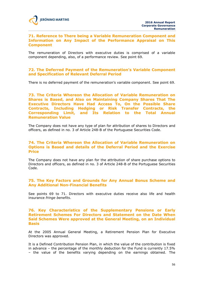#### **71. Reference to There being a Variable Remuneration Component and Information on Any Impact of the Performance Appraisal on This Component**

The remuneration of Directors with executive duties is comprised of a variable component depending, also, of a performance review. See point 69.

# **72. The Deferred Payment of the Remuneration's Variable Component and Specification of Relevant Deferral Period**

There is no deferred payment of the remuneration's variable component. See point 69.

**73. The Criteria Whereon the Allocation of Variable Remuneration on Shares is Based, and Also on Maintaining Company Shares That The Executive Directors Have Had Access To, On the Possible Share Contracts, Including Hedging or Risk Transfer Contracts, the Corresponding Limit, and Its Relation to the Total Annual Remuneration Value**

The Company does not have any type of plan for attribution of shares to Directors and officers, as defined in no. 3 of Article 248-B of the Portuguese Securities Code.

## **74. The Criteria Whereon the Allocation of Variable Remuneration on Options is Based and details of the Deferral Period and the Exercise Price**

The Company does not have any plan for the attribution of share purchase options to Directors and officers, as defined in no. 3 of Article 248-B of the Portuguese Securities Code.

## **75. The Key Factors and Grounds for Any Annual Bonus Scheme and Any Additional Non-Financial Benefits**

See points 69 to 71. Directors with executive duties receive also life and health insurance *fringe benefits*.

## **76. Key Characteristics of the Supplementary Pensions or Early Retirement Schemes For Directors and Statement on the Date When Said Schemes Were approved at the General Meeting, on an Individual Basis**

At the 2005 Annual General Meeting, a Retirement Pension Plan for Executive Directors was approved.

It is a Defined Contribution Pension Plan, in which the value of the contribution is fixed in advance – the percentage of the monthly deduction for the Fund is currently 17.5% – the value of the benefits varying depending on the earnings obtained. The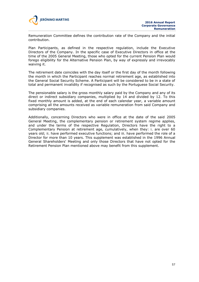

Remuneration Committee defines the contribution rate of the Company and the initial contribution.

Plan Participants, as defined in the respective regulation, include the Executive Directors of the Company. In the specific case of Executive Directors in office at the time of the 2005 General Meeting, those who opted for the current Pension Plan would forego eligibility for the Alternative Pension Plan, by way of expressly and irrevocably waiving it.

The retirement date coincides with the day itself or the first day of the month following the month in which the Participant reaches normal retirement age, as established into the General Social Security Scheme. A Participant will be considered to be in a state of total and permanent invalidity if recognised as such by the Portuguese Social Security.

The pensionable salary is the gross monthly salary paid by the Company and any of its direct or indirect subsidiary companies, multiplied by 14 and divided by 12. To this fixed monthly amount is added, at the end of each calendar year, a variable amount comprising all the amounts received as variable remuneration from said Company and subsidiary companies.

Additionally, concerning Directors who were in office at the date of the said 2005 General Meeting, the complementary pension or retirement system regime applies, and under the terms of the respective Regulation, Directors have the right to a Complementary Pension at retirement age, cumulatively, when they: i. are over 60 years old; ii. have performed executive functions; and iii. have performed the role of a Director for more than 10 years. This supplement was established in the 1996 Annual General Shareholders' Meeting and only those Directors that have not opted for the Retirement Pension Plan mentioned above may benefit from this supplement.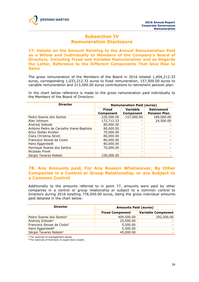# **Subsection IV Remuneration Disclosure**

**77. Details on the Amount Relating to the Annual Remuneration Paid as a Whole and Individually to Members of the Company's Board of Directors, Including Fixed and Variable Remuneration and as Regards the Latter, Reference to the Different Components That Give Rise to Same**

The gross remuneration of the Members of the Board in 2016 totaled 1,404,212.33 euros, corresponding 1,033,212.33 euros to fixed remuneration, 157,500.00 euros to variable remuneration and 213,500.00 euros contributions to retirement pension plan.

In the chart below reference is made to the gross remuneration paid individually to the Members of the Board of Directors:

| <b>Director</b>                          | <b>Remuneration Paid (euros)</b> |                              |                                   |
|------------------------------------------|----------------------------------|------------------------------|-----------------------------------|
|                                          | <b>Fixed</b><br>Component        | Variable<br><b>Component</b> | Retirement<br><b>Pension Plan</b> |
| Pedro Soares dos Santos                  | 220,500.00                       | 157,500.00                   | 189,000.00                        |
| Alan Johnson                             | 172,712.33                       |                              | 24,500.00                         |
| Andrzej Szlezak                          | 80,000.00                        |                              |                                   |
| António Pedro de Carvalho Viana-Baptista | 80,000.00                        |                              |                                   |
| Artur Stefan Kirsten                     | 70,000.00                        |                              |                                   |
| Clara Christina Streit                   | 80,000,00                        | $\overline{\phantom{0}}$     |                                   |
| Francisco Seixas da Costa                | 80,000.00                        |                              |                                   |
| Hans Eggerstedt                          | 80,000.00                        |                              |                                   |
| Henrique Soares dos Santos               | 70,000,00                        |                              |                                   |
| Nicolaas Pronk                           |                                  |                              |                                   |
| Sérgio Tavares Rebelo                    | 100,000,00                       |                              |                                   |

# **78. Any Amounts paid, For Any Reason Whatsoever, By Other Companies in a Control or Group Relationship, or are Subject to a Common Control**

Additionally to the amounts referred to in point 77, amounts were paid by other companies in a control or group relationship or subject to a common control to Directors during 2016 totalling 778,500.00 euros, being the gross individual amounts paid detailed in the chart below:

| <b>Director</b>                        | <b>Amounts Paid (euros)</b> |                           |  |
|----------------------------------------|-----------------------------|---------------------------|--|
|                                        | <b>Fixed Component</b>      | <b>Variable Component</b> |  |
| Pedro Soares dos Santos <sup>1</sup>   | 409,500.00                  | 292,500.00                |  |
| Andrzej Szlezak <sup>2</sup>           | 25,500.00                   |                           |  |
| Francisco Seixas da Costa <sup>2</sup> | 5,500.00                    |                           |  |
| Hans Eggerstedt <sup>2</sup>           | 5,500.00                    |                           |  |
| Sérgio Tavares Rebelo <sup>2</sup>     | 40,000.00                   |                           |  |

**<sup>1</sup>** For exercise of management duties.

**<sup>2</sup>** For exercise of functions in supervisory board.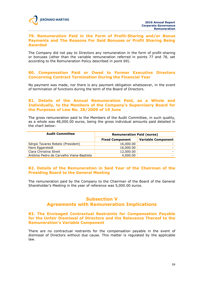#### **79. Remuneration Paid in the Form of Profit-Sharing and/or Bonus Payments and The Reasons For Said Bonuses or Profit Sharing Being Awarded**

The Company did not pay to Directors any remuneration in the form of profit-sharing or bonuses (other than the variable remuneration referred in points 77 and 78, set according to the Remuneration Policy described in point 69).

# **80. Compensation Paid or Owed to Former Executive Directors Concerning Contract Termination During the Financial Year**

No payment was made, nor there is any payment obligation whatsoever, in the event of termination of functions during the term of the Board of Directors.

## **81. Details of the Annual Remuneration Paid, as a Whole and Individually, to the Members of the Company's Supervisory Board for the Purposes of Law No. 28/2009 of 19 June**

The gross remuneration paid to the Members of the Audit Committee, in such quality, as a whole was 48,000.00 euros, being the gross individual amounts paid detailed in the chart below:

| <b>Audit Committee</b>                   | <b>Remuneration Paid (euros)</b> |                           |  |
|------------------------------------------|----------------------------------|---------------------------|--|
|                                          | <b>Fixed Component</b>           | <b>Variable Component</b> |  |
| Sérgio Tavares Rebelo (President)        | 16,000.00                        |                           |  |
| Hans Eggerstedt                          | 16,000.00                        |                           |  |
| Clara Christina Streit                   | 12,000.00                        |                           |  |
| António Pedro de Carvalho Viana-Baptista | 4,000.00                         |                           |  |

# **82. Details of the Remuneration in Said Year of the Chairman of the Presiding Board to the General Meeting**

The remuneration paid by the Company to the Chairman of the Board of the General Shareholder's Meeting in the year of reference was 5,000.00 euros.

# **Subsection V Agreements with Remuneration Implications**

## **83. The Envisaged Contractual Restraints for Compensation Payable for the Unfair Dismissal of Directors and the Relevance Thereof to the Remuneration's Variable Component**

There are no contractual restraints for the compensation payable in the event of dismissal of Directors without due cause. This matter is regulated by the applicable law.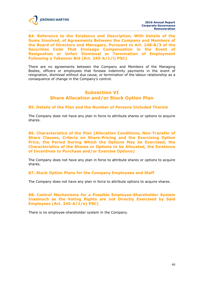

**84. Reference to the Existence and Description, With Details of the Sums Involved, of Agreements Between the Company and Members of the Board of Directors and Managers, Pursuant to Art. 248-B/3 of the Securities Code That Envisage Compensation in the Event of Resignation or Unfair Dismissal or Termination of Employment Following a Takeover Bid (Art. 245-A/1/l) PSC)**

There are no agreements between the Company and Members of the Managing Bodies, officers or employees that foresee indemnity payments in the event of resignation, dismissal without due cause, or termination of the labour relationship as a consequence of change in the Company's control.

# **Subsection VI Share Allocation and/or Stock Option Plan**

## **85. Details of the Plan and the Number of Persons Included Therein**

The Company does not have any plan in force to attribute shares or options to acquire shares.

**86. Characteristics of the Plan (Allocation Conditions, Non-Transfer of Share Clauses, Criteria on Share-Pricing and the Exercising Option Price, the Period During Which the Options May be Exercised, the Characteristics of the Shares or Options to be Allocated, the Existence of Incentives to Purchase and/or Exercise Options)**

The Company does not have any plan in force to attribute shares or options to acquire shares.

## **87. Stock Option Plans for the Company Employees and Staff**

The Company does not have any plan in force to attribute options to acquire shares.

## **88. Control Mechanisms for a Possible Employee-Shareholder System Inasmuch as the Voting Rights are not Directly Exercised by Said Employees (Art. 245-A/1/e) PSC)**

There is no employee-shareholder system in the Company.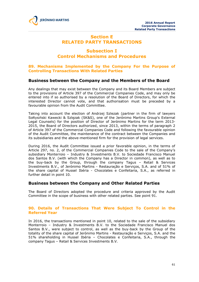

# **Section E RELATED PARTY TRANSACTIONS**

# **Subsection I Control Mechanisms and Procedures**

## **89. Mechanisms Implemented by the Company For the Purpose of Controlling Transactions With Related Parties**

# **Business between the Company and the Members of the Board**

Any dealings that may exist between the Company and its Board Members are subject to the provisions of Article 397 of the Commercial Companies Code, and may only be entered into if so authorised by a resolution of the Board of Directors, for which the interested Director cannot vote, and that authorisation must be preceded by a favourable opinion from the Audit Committee.

Taking into account the election of Andrzej Szlezak (partner in the firm of lawyers Sołtysiński Kawecki & Szlęzak (SK&S), one of the Jerónimo Martins Group's External Legal Counsels) for the position of Director of Jerónimo Martins for the term 2013- 2015, the Board of Directors authorized, since 2013, within the terms of paragraph 2 of Article 397 of the Commercial Companies Code and following the favourable opinion of the Audit Committee, the maintenance of the contract between the Companies and its subsidiaries and the above-mentioned firm for the provision of legal services.

During 2016, the Audit Committee issued a prior favorable opinion, in the terms of Article 297, no. 2, of the Commercial Companies Code to the sale of the Company's subsidiary Monterroio – Industry & Investments B.V. to Sociedade Francisco Manuel dos Santos B.V. (with which the Company has a Director in common), as well as to the buy-back by the Group, through the company Tagus – Retail & Services Investments B.V., of Jerónimo Martins - Restauração e Serviços, S.A. and of 51% of the share capital of Hussel Ibéria - Chocolates e Confeitaria, S.A., as referred in further detail in point 10.

# **Business between the Company and Other Related Parties**

The Board of Directors adopted the procedure and criteria approved by the Audit Committee in the scope of business with other related parties. See point 91.

## **90. Details of Transactions That Were Subject To Control in the Referred Year**

In 2016, the transactions mentioned in point 10, related to the sale of the subsidiary Monterroio – Industry & Investments B.V. to the Sociedade Francisco Manuel dos Santos B.V., were subject to control, as well as the buy-back by the Group of the totality of the share capital of Jerónimo Martins - Restauração e Serviços, S.A. and the 51% shareholding in Hussel Ibéria – Chocolates e Confeitaria, S.A., through the company Tagus – Retail & Services Investments B.V.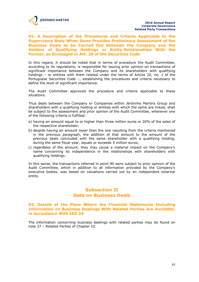

**91. A Description of the Procedures and Criteria Applicable to the Supervisory Body When Same Provides Preliminary Assessment of the Business Deals to be Carried Out Between the Company and the Holders of Qualifying Holdings or Entity-Relationships With the Former, as Envisaged in Art. 20 of the Securities Code**

In this regard, it should be noted that in terms of procedure the Audit Committee, according to its regulations, is responsible for issuing prior opinion on transactions of significant importance between the Company and its shareholders with qualifying holdings – or entities with them related under the terms of Article 20, no. 1 of the Portuguese Securities Code –, establishing the procedures and criteria necessary to define the level of significant importance.

The Audit Committee approved the procedure and criteria applicable to these situations.

Thus deals between the Company or Companies within Jerónimo Martins Group and shareholders with a qualifying holding or entities with which the same are linked, shall be subject to the assessment and prior opinion of the Audit Committee, whenever one of the following criteria is fulfilled:

- a) having an amount equal to or higher than three million euros or 20% of the sales of the respective shareholder;
- b) despite having an amount lower than the one resulting from the criteria mentioned in the previous paragraph, the addition of that amount to the amount of the previous deals concluded with the same shareholder with a qualifying holding, during the same fiscal year, equals or exceeds 5 million euros;
- c) regardless of the amount, they may cause a material impact on the Company's name concerning its independence in the relationships with shareholders with qualifying holdings.

In this sense, the transactions referred in point 90 were subject to prior opinion of the Audit Committee, which in addition to all information provided by the Company's executive bodies, was based on valuations carried out by an independent external entity.

# **Subsection II Data on Business Deals**

## **92. Details of the Place Where the Financial Statements Including Information on Business Dealings With Related Parties Are Available, in Accordance With IAS 24**

The information concerning business dealings with related parties may be found on note 27 – Related Parties of Chapter III.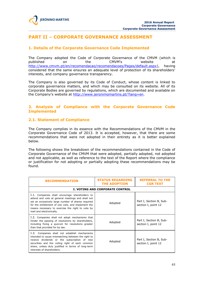

# **PART II – CORPORATE GOVERNANCE ASSESSMENT**

# **1. Details of the Corporate Governance Code Implemented**

The Company adopted the Code of Corporate Governance of the CMVM (which is published on the CMVM's website at http://www.cmvm.pt/en/recomendacao/recomendacoes/Pages/default.aspx), having considered that the same ensures an adequate level of protection of its shareholders' interests, and company governance transparency.

The Company is also governed by its Code of Conduct, whose content is linked to corporate governance matters, and which may be consulted on its website. All of its Corporate Bodies are governed by regulations, which are documented and available on the Company's website at http://www.jeronimomartins.pt/?lang=en.

# **2. Analysis of Compliance with the Corporate Governance Code Implemented**

## **2.1. Statement of Compliance**

The Company complies in its essence with the Recommendations of the CMVM in the Corporate Governance Code of 2013. It is accepted, however, that there are some recommendations that were not adopted in their entirety as it is better explained below.

The following shows the breakdown of the recommendations contained in the Code of Corporate Governance of the CMVM that were adopted, partially adopted, not adopted and not applicable, as well as reference to the text of the Report where the compliance or justification for not adopting or partially adopting these recommendations may be found.

| <b>RECOMMENDATION</b>                                                                                                                                                                                                                                                                           | <b>STATUS REGARDING</b><br><b>THE ADOPTION</b> | <b>REFERRAL TO THE</b><br><b>CGR TEXT</b>      |  |  |  |
|-------------------------------------------------------------------------------------------------------------------------------------------------------------------------------------------------------------------------------------------------------------------------------------------------|------------------------------------------------|------------------------------------------------|--|--|--|
|                                                                                                                                                                                                                                                                                                 | <b>I. VOTING AND CORPORATE CONTROL</b>         |                                                |  |  |  |
| I.1. Companies shall encourage shareholders to<br>attend and vote at general meetings and shall not<br>set an excessively large number of shares required<br>for the entitlement of one vote, and implement the<br>means necessary to exercise the right to vote by<br>mail and electronically. | Adopted                                        | Part I, Section B, Sub-<br>section I, point 12 |  |  |  |
| I.2. Companies shall not adopt mechanisms that<br>hinder the passing of resolutions by shareholders,<br>including fixing a quorum for resolutions greater<br>than that provided for by law.                                                                                                     | Adopted                                        | Part I, Section B, Sub-<br>section I, point 12 |  |  |  |
| I.3. Companies shall not establish mechanisms<br>intended to cause mismatching between the right to<br>receive dividends or the subscription of new<br>securities and the voting right of each common<br>share, unless duly justified in terms of long-term<br>interests of shareholders.       | Adopted                                        | Part I, Section B, Sub-<br>section I, point 12 |  |  |  |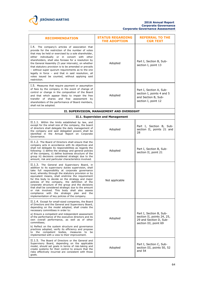

| <b>RECOMMENDATION</b>                                                                                                                                                                                                                                                                                                                                                                                                                                                                                                                                                                                                                        | <b>STATUS REGARDING</b><br><b>THE ADOPTION</b> | <b>REFERRAL TO THE</b><br><b>CGR TEXT</b>                                                                |
|----------------------------------------------------------------------------------------------------------------------------------------------------------------------------------------------------------------------------------------------------------------------------------------------------------------------------------------------------------------------------------------------------------------------------------------------------------------------------------------------------------------------------------------------------------------------------------------------------------------------------------------------|------------------------------------------------|----------------------------------------------------------------------------------------------------------|
| I.4. The company's articles of association that<br>provide for the restriction of the number of votes<br>that may be held or exercised by a sole shareholder,<br>either individually or in concert with other<br>shareholders, shall also foresee for a resolution by<br>the General Assembly (5 year intervals), on whether<br>that statutory provision is to be amended or prevails<br>- without super quorum requirements as to the one<br>legally in force - and that in said resolution, all<br>votes issued be counted, without applying said<br>restriction.                                                                          | Adopted                                        | Part I, Section B, Sub-<br>section I, point 13                                                           |
| I.5. Measures that require payment or assumption<br>of fees by the company in the event of change of<br>control or change in the composition of the Board<br>and that which appear likely to impair the free<br>transfer of shares and free assessment by<br>shareholders of the performance of Board members,<br>shall not be adopted.                                                                                                                                                                                                                                                                                                      | Adopted                                        | Part I, Section A, Sub-<br>section I, points 4 and 5<br>and Section B, Sub-<br>section I, point 12       |
|                                                                                                                                                                                                                                                                                                                                                                                                                                                                                                                                                                                                                                              | II. SUPERVISION, MANAGEMENT AND OVERSIGHT      |                                                                                                          |
|                                                                                                                                                                                                                                                                                                                                                                                                                                                                                                                                                                                                                                              | II.1. Supervision and Management               |                                                                                                          |
| II.1.1. Within the limits established by law, and<br>except for the small size of the company, the board<br>of directors shall delegate the daily management of<br>the company and said delegated powers shall be<br>identified in the Annual Report on Corporate<br>Governance.                                                                                                                                                                                                                                                                                                                                                             | Adopted                                        | Part I, Section B, Sub-<br>section II, points 21 and<br>28                                               |
| II.1.2. The Board of Directors shall ensure that the<br>company acts in accordance with its objectives and<br>shall not delegate its responsibilities as regards the<br>following: i) define the strategy and general policies<br>of the company, ii) define business structure of the<br>group iii) decisions considered strategic due to the<br>amount, risk and particular characteristics involved.                                                                                                                                                                                                                                      | Adopted                                        | Part I, Section B, Sub-<br>section II, point 21                                                          |
| II.1.3. The General and Supervisory Board, in<br>addition to its supervisory duties supervision, shall<br>take full responsibility at corporate governance<br>level, whereby through the statutory provision or by<br>equivalent means, shall enshrine the requirement<br>for this body to decide on the strategy and major<br>policies of the company, the definition of the<br>corporate structure of the group and the decisions<br>that shall be considered strategic due to the amount<br>or risk involved. This body shall also assess<br>compliance with the strategic plan and the<br>implementation of key policies of the company. | Not applicable                                 |                                                                                                          |
| II.1.4. Except for small-sized companies, the Board<br>of Directors and the General and Supervisory Board,<br>depending on the model adopted, shall create the<br>necessary committees in order to:<br>a) Ensure a competent and independent assessment<br>of the performance of the executive directors and its<br>own overall performance, as well as of other<br>committees;<br>b) Reflect on the system structure and governance<br>practices adopted, verify its efficiency and propose<br>to the competent bodies, measures to<br>be<br>implemented with a view to their improvement.                                                  | Adopted                                        | Part I, Section B, Sub-<br>section II, points 24, 25,<br>29 and Section D, Sub-<br>section III, point 69 |
| II.1.5. The Board of Directors or the General and<br>Supervisory Board, depending on the applicable<br>model, should set goals in terms of risk-taking and<br>create systems for their control to ensure that the<br>risks effectively incurred are consistent with those<br>goals.                                                                                                                                                                                                                                                                                                                                                          | Adopted                                        | Part I, Section C, Sub-<br>section III, points 50, 52<br>and $54$                                        |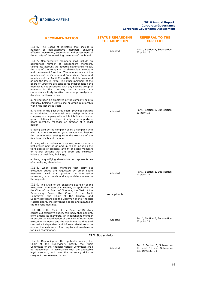

| <b>RECOMMENDATION</b>                                                                                                                                                                                                                                                                                                                                                                                                                                                                                                                                                                                                                                                             | <b>STATUS REGARDING</b><br><b>THE ADOPTION</b> | <b>REFERRAL TO THE</b><br><b>CGR TEXT</b>                                           |
|-----------------------------------------------------------------------------------------------------------------------------------------------------------------------------------------------------------------------------------------------------------------------------------------------------------------------------------------------------------------------------------------------------------------------------------------------------------------------------------------------------------------------------------------------------------------------------------------------------------------------------------------------------------------------------------|------------------------------------------------|-------------------------------------------------------------------------------------|
| II.1.6. The Board of Directors shall include a<br>number of<br>non-executive members<br>ensuring<br>effective monitoring, supervision and assessment of<br>the activity of the remaining members of the board.                                                                                                                                                                                                                                                                                                                                                                                                                                                                    | Adopted                                        | Part I, Section B, Sub-section<br>II, point 18                                      |
| II.1.7. Non-executive members shall include an<br>appropriate number of independent members,<br>taking into account the adopted governance model,<br>the size of the company, its shareholder structure<br>and the relevant free float. The independence of the<br>members of the General and Supervisory Board and<br>members of the Audit Committee shall be assessed<br>as per the law in force. The other members of the<br>Board of Directors are considered independent if the<br>member is not associated with any specific group of<br>interests in the company nor is under any<br>circumstance likely to affect an exempt analysis or<br>decision, particularly due to: |                                                |                                                                                     |
| a. having been an employee at the company or at a<br>company holding a controlling or group relationship<br>within the last three years;                                                                                                                                                                                                                                                                                                                                                                                                                                                                                                                                          |                                                |                                                                                     |
| b. having, in the past three years, provided services<br>or established commercial relationship with the<br>company or company with which it is in a control or<br>group relationship, either directly or as a partner,<br>board member, manager or director of a legal<br>person;                                                                                                                                                                                                                                                                                                                                                                                                | Adopted                                        | Part I, Section B, Sub-section<br>II, point 18                                      |
| c. being paid by the company or by a company with<br>which it is in a control or group relationship besides<br>the remuneration arising from the exercise of the<br>functions of a board member;                                                                                                                                                                                                                                                                                                                                                                                                                                                                                  |                                                |                                                                                     |
| d. living with a partner or a spouse, relative or any<br>first degree next of kin and up to and including the<br>third degree of collateral affinity of board members<br>or natural persons that are direct and indirectly<br>holders of qualifying holdings;                                                                                                                                                                                                                                                                                                                                                                                                                     |                                                |                                                                                     |
| e. being a qualifying shareholder or representative<br>of a qualifying shareholder.                                                                                                                                                                                                                                                                                                                                                                                                                                                                                                                                                                                               |                                                |                                                                                     |
| II.1.8. When board members that carry out<br>executive duties are requested by other board<br>members, said shall provide the information<br>requested, in a timely and appropriate manner to<br>the request.                                                                                                                                                                                                                                                                                                                                                                                                                                                                     | Adopted                                        | Part I, Section B, Sub-section<br>II, point 21                                      |
| II.1.9. The Chair of the Executive Board or of the<br>Executive Committee shall submit, as applicable, to<br>the Chair of the Board of Directors, the Chair of the<br>Supervisory Board, the Chair of the Audit<br>Committee,<br>the Chair of the General and<br>Supervisory Board and the Chairman of the Financial<br>Matters Board, the convening notices and minutes of<br>the relevant meetings.                                                                                                                                                                                                                                                                             | Not applicable                                 |                                                                                     |
| II.1.10. If the Chair of the Board of Directors<br>carries out executive duties, said body shall appoint,<br>from among its members, an independent member<br>to ensure the coordination of the work of other non-<br>executive members and the conditions so that said<br>can make independent and informed decisions or to<br>ensure the existence of an equivalent mechanism<br>for such coordination.                                                                                                                                                                                                                                                                         | Adopted                                        | Part I, Section B, Sub-section<br>II, point 21                                      |
|                                                                                                                                                                                                                                                                                                                                                                                                                                                                                                                                                                                                                                                                                   | II.2. Supervision                              |                                                                                     |
| II.2.1. Depending on the applicable model, the<br>Chair of the Supervisory Board, the Audit<br>Committee or the Financial Matters Committee shall<br>be independent in accordance with the applicable<br>legal standard, and have the necessary skills to<br>carry out their relevant duties.                                                                                                                                                                                                                                                                                                                                                                                     | Adopted                                        | Part I, Section B, Sub-section<br>II, point 19 and Subsection<br>III, points 32, 33 |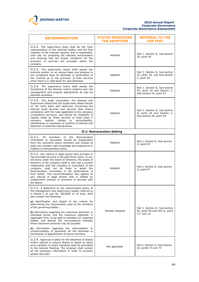

| <b>RECOMMENDATION</b>                                                                                                                                                                                                                                                                                                                                                                                                                                                                                                                                      | <b>STATUS REGARDING</b><br><b>THE ADOPTION</b> | <b>REFERRAL TO THE</b><br><b>CGR TEXT</b>                                                   |  |  |
|------------------------------------------------------------------------------------------------------------------------------------------------------------------------------------------------------------------------------------------------------------------------------------------------------------------------------------------------------------------------------------------------------------------------------------------------------------------------------------------------------------------------------------------------------------|------------------------------------------------|---------------------------------------------------------------------------------------------|--|--|
| II.2.2. The supervisory body shall be the main<br>representative of the external auditor and the first<br>recipient of the relevant reports, and is responsible,<br>inter alia, for proposing the relevant remuneration<br>and ensuring that the proper conditions for the<br>provision of services are provided within the<br>company.                                                                                                                                                                                                                    | Adopted                                        | Part I, Section B, Sub-section<br>III, point 30                                             |  |  |
| II.2.3. The supervisory board shall assess the<br>external auditor on an annual basis and propose to<br>the competent body its dismissal or termination of<br>the contract as to the provision of their services<br>when there is a valid basis for said dismissal.                                                                                                                                                                                                                                                                                        | Adopted                                        | Part I, Section B, Sub-section<br>III, point 30, and Sub-section<br>V, point 45             |  |  |
| II.2.4. The supervisory board shall assess the<br>functioning of the internal control systems and risk<br>management and propose adjustments as may be<br>deemed necessary.                                                                                                                                                                                                                                                                                                                                                                                | Adopted                                        | Part I, Section B, Sub-section<br>III, point 30 and Section C,<br>Sub-section III, point 52 |  |  |
| II.2.5. The Audit Committee, the General and<br>Supervisory Board and the Supervisory Board decide<br>on the work plans and resources concerning the<br>internal audit services and services that ensure<br>compliance with the rules applicable to the company<br>(compliance services), and should be recipients of<br>reports made by these services at least when it<br>concerns<br>matters<br>related<br>accountability,<br>to<br>identification or resolution of conflicts of interest and<br>detection of potential improprieties.                  | Adopted                                        | Part I, Section B, Sub-section<br>II, point 29 and Section C,<br>Sub-section III, point 50  |  |  |
| II.3. Remuneration Setting                                                                                                                                                                                                                                                                                                                                                                                                                                                                                                                                 |                                                |                                                                                             |  |  |
| II.3.1.<br>All<br>members of the<br>Remuneration<br>Committee or equivalent should be independent<br>from the executive board members and include at<br>least one member with knowledge and experience in<br>matters of remuneration policy.                                                                                                                                                                                                                                                                                                               | Adopted                                        | Part I, Section D, Sub-section<br>II, point 67                                              |  |  |
| II.3.2. Any natural or legal person that provides or<br>has provided services in the past three years, to any<br>structure under the board of directors, the board of<br>directors of the company itself or who has a current<br>relationship with the company or consultant of the<br>company, shall not be hired to assist the<br>Remuneration Committee in the performance of<br>their duties. This recommendation also applies to<br>any natural or legal person that is related by<br>employment contract or provision of services with<br>the above. | Adopted                                        | Part I, Section D, Sub-section<br>II, point 67                                              |  |  |
| II.3.3. A statement on the remuneration policy of<br>the management and supervisory bodies referred to<br>in Article 2 of Law No. 28/2009 of 19 June, shall<br>also contain the following:<br>a) identification and details of the criteria for<br>determining the remuneration paid to the members                                                                                                                                                                                                                                                        |                                                |                                                                                             |  |  |
| of the governing bodies;<br><b>b)</b> information regarding the maximum potential, in<br>individual terms, and the maximum potential, in<br>aggregate form, to be paid to members of corporate<br>bodies, and identify the circumstances whereby<br>these maximum amounts may be payable;<br><b>d)</b> information regarding the enforceability or                                                                                                                                                                                                         | Partially Adopted                              | Part I, Section D, Sub-section<br>III, point 69 and Part II, point<br>$2.1$ , sub. a)       |  |  |
| unenforceability of payments for the dismissal or<br>termination of appointment of board members.                                                                                                                                                                                                                                                                                                                                                                                                                                                          |                                                |                                                                                             |  |  |
| II.3.4. Approval of plans for the allotment of shares<br>and/or options to acquire shares or based on share<br>price variation to board members shall be submitted<br>to the General Meeting. The proposal shall contain<br>all the necessary information in order to correctly<br>assess said plan.                                                                                                                                                                                                                                                       | Not applicable                                 | Part I, Section D, Sub-section<br>III, points 73 and 74                                     |  |  |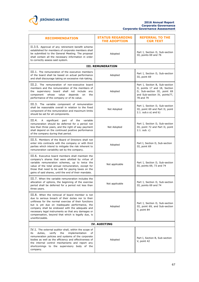

#### **2016 Annual Report Corporate Governance Corporate Governance Assessment**

| <b>RECOMMENDATION</b>                                                                                                                                                                                                                                                                                                                                                                         | <b>STATUS REGARDING</b><br><b>THE ADOPTION</b> | <b>REFERRAL TO THE</b><br><b>CGR TEXT</b>                                                                                                     |  |
|-----------------------------------------------------------------------------------------------------------------------------------------------------------------------------------------------------------------------------------------------------------------------------------------------------------------------------------------------------------------------------------------------|------------------------------------------------|-----------------------------------------------------------------------------------------------------------------------------------------------|--|
| II.3.5. Approval of any retirement benefit scheme<br>established for members of corporate members shall<br>be submitted to the General Meeting. The proposal<br>shall contain all the necessary information in order<br>to correctly assess said system.                                                                                                                                      | Adopted                                        | Part I, Section D, Sub-section<br>III, points 69 and 76                                                                                       |  |
|                                                                                                                                                                                                                                                                                                                                                                                               | <b>III. REMUNERATION</b>                       |                                                                                                                                               |  |
| III.1. The remuneration of the executive members<br>of the board shall be based on actual performance<br>and shall discourage taking on excessive risk-taking.                                                                                                                                                                                                                                | Adopted                                        | Part I, Section D, Sub-section<br>III, point 69                                                                                               |  |
| III.2. The remuneration of non-executive board<br>members and the remuneration of the members of<br>the supervisory board shall not include any<br>whose<br>value<br>depends<br>component<br>on<br>the<br>performance of the company or of its value.                                                                                                                                         | Adopted                                        | Part I, Section B, Sub-section<br>II, points 17 and 18, Section<br>D, Sub-section III, point 69<br>and Sub-section IV, points77,<br>78 and 79 |  |
| III.3. The variable component of remuneration<br>shall be reasonable overall in relation to the fixed<br>component of the remuneration and maximum limits<br>should be set for all components.                                                                                                                                                                                                | Not Adopted                                    | Part I, Section D, Sub-section<br>III, point 69 and Part II, point<br>$2.1.$ sub.s a) and b)                                                  |  |
| III.4.<br>A significant<br>of the<br>variable<br>part<br>remuneration should be deferred for a period not<br>less than three years, and the right of way payment<br>shall depend on the continued positive performance<br>of the company during that period.                                                                                                                                  | Not Adopted                                    | Part I, Section D, Sub-section<br>III, point 72 and Part II, point<br>$2.1.$ sub. c)                                                          |  |
| III.5. Members of the Board of Directors shall not<br>enter into contracts with the company or with third<br>parties which intend to mitigate the risk inherent to<br>remuneration variability set by the company.                                                                                                                                                                            | Adopted                                        | Part I, Section D, Sub-section<br>III, point 69                                                                                               |  |
| III.6. Executive board members shall maintain the<br>company's shares that were allotted by virtue of<br>variable remuneration schemes, up to twice the<br>value of the total annual remuneration, except for<br>those that need to be sold for paying taxes on the<br>gains of said shares, until the end of their mandate.                                                                  | Not applicable                                 | Part I, Section D, Sub-section<br>III, points 69, 73 and 74                                                                                   |  |
| III.7. When the variable remuneration includes the<br>allocation of options, the beginning of the exercise<br>period shall be deferred for a period not less than<br>three years.                                                                                                                                                                                                             | Not applicable                                 | Part I, Section D, Sub-section<br>III, points 69 and 74                                                                                       |  |
| III.8. When the removal of board member is not<br>due to serious breach of their duties nor to their<br>unfitness for the normal exercise of their functions<br>but is yet due on inadequate performance, the<br>company shall be endowed with the adequate and<br>necessary legal instruments so that any damages or<br>compensation, beyond that which is legally due, is<br>unenforceable. | Adopted                                        | Part I, Section D, Sub-section<br>III, point 69, and Sub-section<br>V, point 84                                                               |  |
| <b>IV. AUDITING</b>                                                                                                                                                                                                                                                                                                                                                                           |                                                |                                                                                                                                               |  |
| IV.1. The external auditor shall, within the scope of<br>duties,<br>verify<br>the<br>implementation<br>its<br>оf<br>remuneration policies and systems of the corporate<br>bodies as well as the efficiency and effectiveness of<br>the internal control mechanisms and report any<br>shortcomings to the supervisory body of the<br>company.                                                  | Adopted                                        | Part I, Section B, Sub-section<br>V, point 42                                                                                                 |  |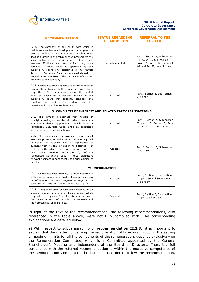

| <b>RECOMMENDATION</b>                                                                                                                                                                                                                                                                                                                                                                                                                                                                                                                                        | <b>STATUS REGARDING</b><br><b>THE ADOPTION</b> | <b>REFERRAL TO THE</b><br><b>CGR TEXT</b>                                                                                                     |  |
|--------------------------------------------------------------------------------------------------------------------------------------------------------------------------------------------------------------------------------------------------------------------------------------------------------------------------------------------------------------------------------------------------------------------------------------------------------------------------------------------------------------------------------------------------------------|------------------------------------------------|-----------------------------------------------------------------------------------------------------------------------------------------------|--|
| IV.2. The company or any entity with which it<br>maintains a control relationship shall not engage the<br>external auditor or any entity with which it finds<br>itself in a group relationship or that incorporates the<br>same network, for services other than audit<br>services. If there are reasons for hiring such<br>services - which must be approved by the<br>supervisory board and explained in its Annual<br>Report on Corporate Governance - said should not<br>exceed more than 30% of the total value of services<br>rendered to the company. | Partially Adopted                              | Part I, Section B, Sub-section<br>III, point 30, Sub-section III,<br>point 37, Sub-section V, point<br>46, and Part II, point 2.1, sub.<br>d) |  |
| IV.3. Companies shall support auditor rotation after<br>two or three terms whether four or three years,<br>respectively. Its continuance beyond this period<br>must be based on a specific opinion of the<br>supervisory board that explicitly considers the<br>conditions of auditor's independence and<br>the<br>benefits and costs of its replacement.                                                                                                                                                                                                    | Adopted                                        | Part I, Section B, Sub-section<br>V, point 44                                                                                                 |  |
| V. CONFLICTS OF INTEREST AND RELATED PARTY TRANSACTIONS                                                                                                                                                                                                                                                                                                                                                                                                                                                                                                      |                                                |                                                                                                                                               |  |
| V.1. The company's business with holders of<br>qualifying holdings or entities with which they are in<br>any type of relationship pursuant to article 20 of the<br>Portuguese Securities Code, shall be conducted<br>during normal market conditions.                                                                                                                                                                                                                                                                                                        | Adopted                                        | Part I, Section A, Sub-section<br>II, point 10, Section E, Sub-<br>section I, points 89 and 91                                                |  |
| V.2. The supervisory or oversight board shall<br>establish procedures and criteria that are required<br>to define the relevant level of significance of<br>business with holders of qualifying holdings - or<br>entities with which they are in any of the<br>relationships described in article 20/1 of the<br>Portuguese Securities Code - thus significant<br>relevant business is dependent upon prior opinion of<br>that body.                                                                                                                          | Adopted                                        | Part I, Section E, Sub-section<br>I, point 91                                                                                                 |  |
| <b>VI. INFORMATION</b>                                                                                                                                                                                                                                                                                                                                                                                                                                                                                                                                       |                                                |                                                                                                                                               |  |
| VI.1. Companies shall provide, via their websites in<br>both the Portuguese and English languages, access<br>to information on their progress as regards the<br>economic, financial and governance state of play.                                                                                                                                                                                                                                                                                                                                            | Adopted                                        | Part I, Section C, Sub-section<br>IV, point 56 and Sub-section<br>V, point 59                                                                 |  |
| VI.2. Companies shall ensure the existence of an<br>investor support and market liaison office, which<br>responds to requests from investors in a timely<br>fashion and a record of the submitted requests and<br>their processing, shall be kept.                                                                                                                                                                                                                                                                                                           | Adopted                                        | Part I, Section C, Sub-section<br>IV, points 56 and 58                                                                                        |  |

In light of the text of the recommendations, the following recommendations, also referenced in the table above, were not fully complied with. The corresponding explanations are detailed below.

a) With respect to subparagraph **b** of **recommendation II.3.3.**, it is important to explain that the matter concerning the remuneration of Directors, including the setting of maximum limits for all the components of the remuneration, depends exclusively on the Remuneration Committee, which is a Committee appointed by the General Shareholder's Meeting and independent of the Board of Directors. Thus, the full compliance with the referred recommendation is within the exclusive competence of the Remuneration Committee. The latter decided not to follow the recommendation,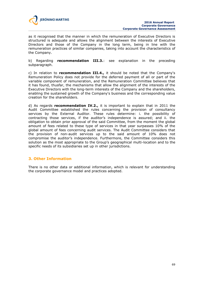

as it recognised that the manner in which the remuneration of Executive Directors is structured is adequate and allows the alignment between the interests of Executive Directors and those of the Company in the long term, being in line with the remuneration practices of similar companies, taking into account the characteristics of the Company.

b) Regarding **recommendation III.3.**: see explanation in the preceding subparagraph.

c) In relation to **recommendation III.4.,** it should be noted that the Company's Remuneration Policy does not provide for the deferred payment of all or part of the variable component of remuneration, and the Remuneration Committee believes that it has found, thusfar, the mechanisms that allow the alignment of the interests of the Executive Directors with the long-term interests of the Company and the shareholders, enabling the sustained growth of the Company's business and the corresponding value creation for the shareholders.

d) As regards **recommendation IV.2.,** it is important to explain that in 2011 the Audit Committee established the rules concerning the provision of consultancy services by the External Auditor. These rules determine: i. the possibility of contracting those services, if the auditor's independence is assured; and ii. the obligation to obtain prior approval of the said Committee, from the moment the global amount of fees related to these type of services in that year surpasses 10% of the global amount of fees concerning audit services. The Audit Committee considers that the provision of non-audit services up to the said amount of 10% does not compromise the auditor's independence. Furthermore, the Committee considers this solution as the most appropriate to the Group's geographical multi-location and to the specific needs of its subsidiaries set up in other jurisdictions.

# **3. Other Information**

There is no other data or additional information, which is relevant for understanding the corporate governance model and practices adopted.